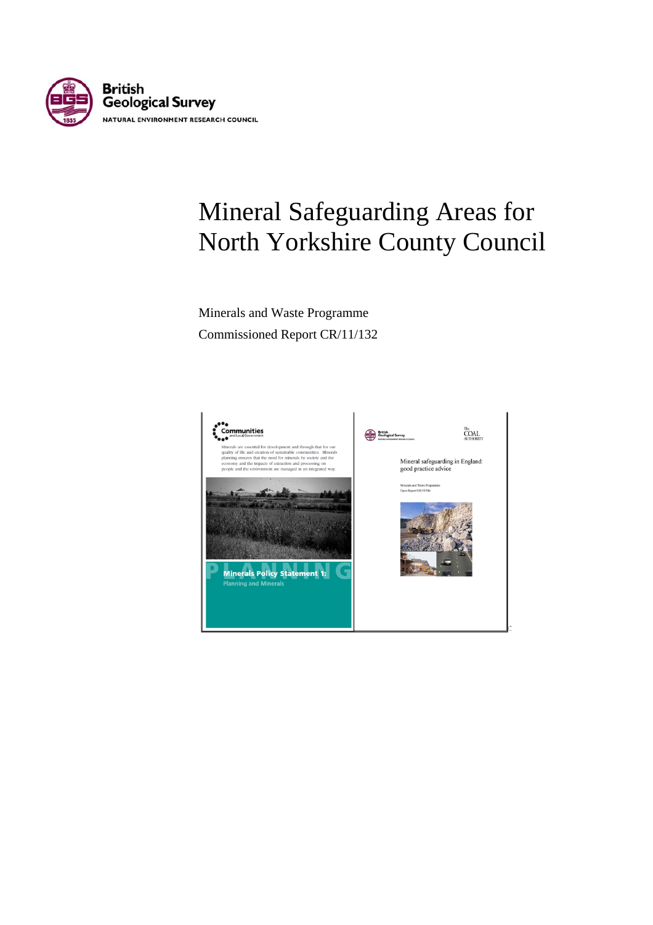

# Mineral Safeguarding Areas for North Yorkshire County Council

Minerals and Waste Programme Commissioned Report CR/11/132

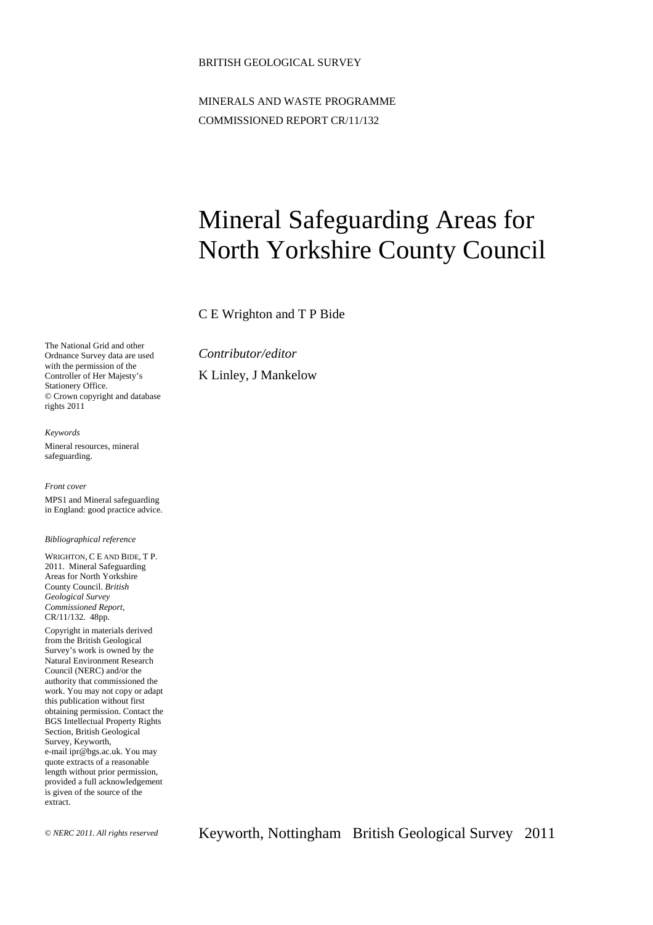#### BRITISH GEOLOGICAL SURVEY

MINERALS AND WASTE PROGRAMME COMMISSIONED REPORT CR/11/132

# Mineral Safeguarding Areas for North Yorkshire County Council

C E Wrighton and T P Bide

The National Grid and other Ordnance Survey data are used with the permission of the Controller of Her Majesty's Stationery Office. © Crown copyright and database rights 2011

*Keywords*  Mineral resources, mineral safeguarding.

*Front cover*  MPS1 and Mineral safeguarding in England: good practice advice.

#### *Bibliographical reference*

WRIGHTON, C E AND BIDE, T P. 2011. Mineral Safeguarding Areas for North Yorkshire County Council. *British Geological Survey Commissioned Report*, CR/11/132. 48pp.

Copyright in materials derived from the British Geological Survey's work is owned by the Natural Environment Research Council (NERC) and/or the authority that commissioned the work. You may not copy or adapt this publication without first obtaining permission. Contact the BGS Intellectual Property Rights Section, British Geological Survey, Keyworth, e-mail ipr@bgs.ac.uk. You may quote extracts of a reasonable length without prior permission, provided a full acknowledgement is given of the source of the extract.

© *NERC 2011. All rights reserved* Keyworth, Nottingham British Geological Survey 2011

*Contributor/editor*  K Linley, J Mankelow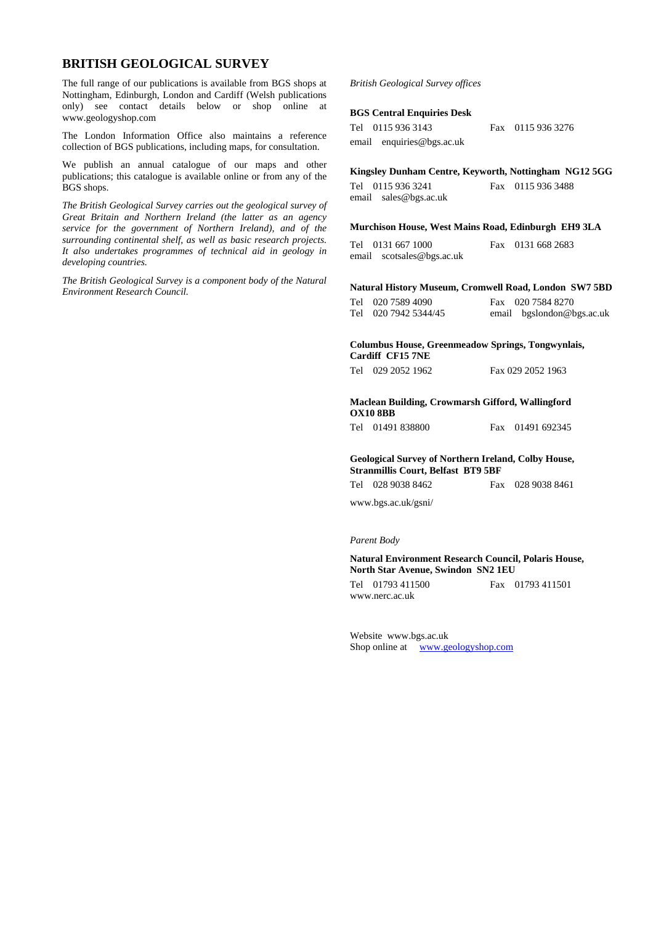#### **BRITISH GEOLOGICAL SURVEY**

The full range of our publications is available from BGS shops at Nottingham, Edinburgh, London and Cardiff (Welsh publications only) see contact details below or shop online at www.geologyshop.com

The London Information Office also maintains a reference collection of BGS publications, including maps, for consultation.

We publish an annual catalogue of our maps and other publications; this catalogue is available online or from any of the BGS shops.

*The British Geological Survey carries out the geological survey of Great Britain and Northern Ireland (the latter as an agency service for the government of Northern Ireland), and of the surrounding continental shelf, as well as basic research projects. It also undertakes programmes of technical aid in geology in developing countries.* 

*The British Geological Survey is a component body of the Natural Environment Research Council.* 

#### *British Geological Survey offices*

#### **BGS Central Enquiries Desk**

| Tel 0115 936 3143         |
|---------------------------|
| email enquiries@bgs.ac.uk |

**Kingsley Dunham Centre, Keyworth, Nottingham NG12 5GG** 

Tel 0115 936 3241 Fax 0115 936 3488 email sales@bgs.ac.uk

Fax 0115 936 3276

**Murchison House, West Mains Road, Edinburgh EH9 3LA** 

Tel 0131 667 1000 Fax 0131 668 2683 email scotsales@bgs.ac.uk

**Natural History Museum, Cromwell Road, London SW7 5BD** 

| Tel 020 7589 4090    | Fax 020 7584 8270         |
|----------------------|---------------------------|
| Tel 020 7942 5344/45 | email bgslondon@bgs.ac.uk |
|                      |                           |

**Columbus House, Greenmeadow Springs, Tongwynlais, Cardiff CF15 7NE** 

| Tel 029 2052 1962 | Fax 029 2052 1963 |
|-------------------|-------------------|
|                   |                   |

#### **Maclean Building, Crowmarsh Gifford, Wallingford OX10 8BB**

Tel 01491 838800 Fax 01491 692345

#### **Geological Survey of Northern Ireland, Colby House, Stranmillis Court, Belfast BT9 5BF**

Tel 028 9038 8462 Fax 028 9038 8461

www.bgs.ac.uk/gsni/

#### *Parent Body*

#### **Natural Environment Research Council, Polaris House, North Star Avenue, Swindon SN2 1EU**

Tel 01793 411500 Fax 01793 411501 www.nerc.ac.uk

Website www.bgs.ac.uk Shop online at [www.geologyshop.com](http://www.geologyshop.com/)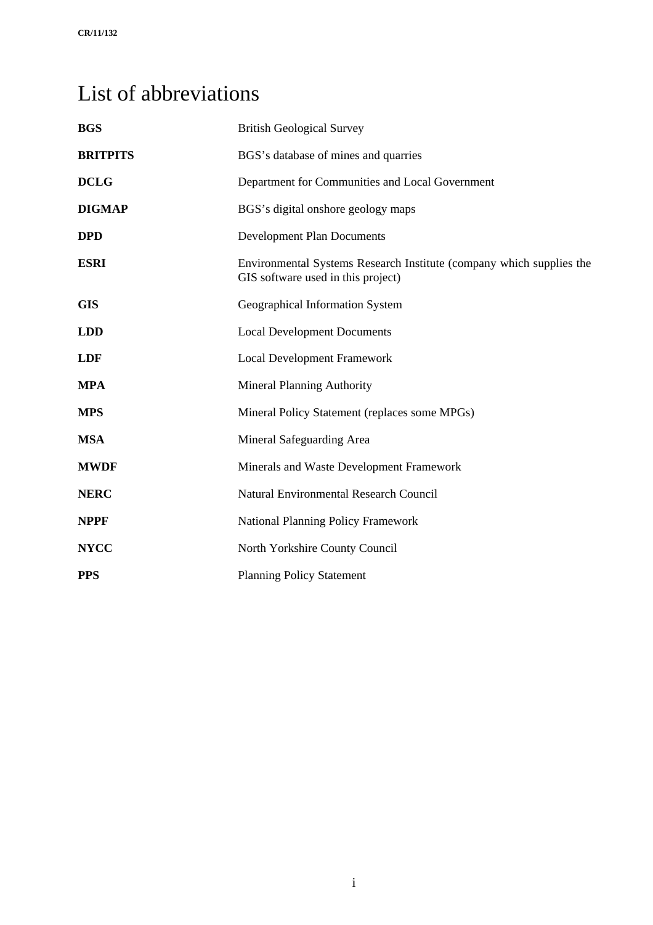# <span id="page-4-0"></span>List of abbreviations

| <b>BGS</b>      | <b>British Geological Survey</b>                                                                           |
|-----------------|------------------------------------------------------------------------------------------------------------|
| <b>BRITPITS</b> | BGS's database of mines and quarries                                                                       |
| <b>DCLG</b>     | Department for Communities and Local Government                                                            |
| <b>DIGMAP</b>   | BGS's digital onshore geology maps                                                                         |
| <b>DPD</b>      | <b>Development Plan Documents</b>                                                                          |
| <b>ESRI</b>     | Environmental Systems Research Institute (company which supplies the<br>GIS software used in this project) |
| <b>GIS</b>      | Geographical Information System                                                                            |
| <b>LDD</b>      | <b>Local Development Documents</b>                                                                         |
| <b>LDF</b>      | <b>Local Development Framework</b>                                                                         |
| <b>MPA</b>      | <b>Mineral Planning Authority</b>                                                                          |
| <b>MPS</b>      | Mineral Policy Statement (replaces some MPGs)                                                              |
| <b>MSA</b>      | Mineral Safeguarding Area                                                                                  |
| <b>MWDF</b>     | Minerals and Waste Development Framework                                                                   |
| <b>NERC</b>     | Natural Environmental Research Council                                                                     |
| <b>NPPF</b>     | <b>National Planning Policy Framework</b>                                                                  |
| <b>NYCC</b>     | North Yorkshire County Council                                                                             |
| <b>PPS</b>      | <b>Planning Policy Statement</b>                                                                           |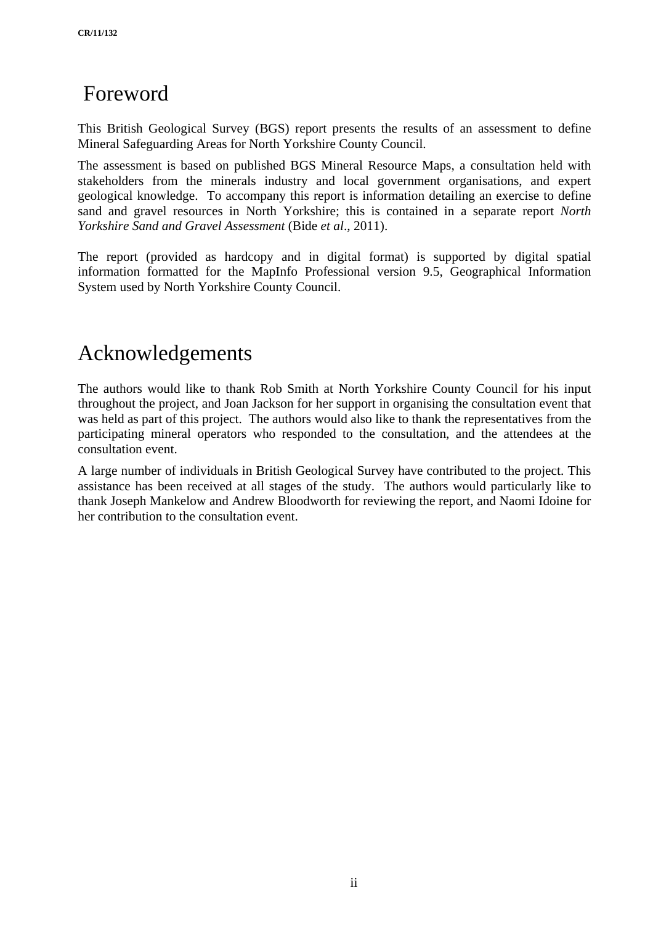# <span id="page-5-0"></span>Foreword

This British Geological Survey (BGS) report presents the results of an assessment to define Mineral Safeguarding Areas for North Yorkshire County Council.

The assessment is based on published BGS Mineral Resource Maps, a consultation held with stakeholders from the minerals industry and local government organisations, and expert geological knowledge. To accompany this report is information detailing an exercise to define sand and gravel resources in North Yorkshire; this is contained in a separate report *North Yorkshire Sand and Gravel Assessment* (Bide *et al*., 2011).

The report (provided as hardcopy and in digital format) is supported by digital spatial information formatted for the MapInfo Professional version 9.5, Geographical Information System used by North Yorkshire County Council.

# Acknowledgements

The authors would like to thank Rob Smith at North Yorkshire County Council for his input throughout the project, and Joan Jackson for her support in organising the consultation event that was held as part of this project. The authors would also like to thank the representatives from the participating mineral operators who responded to the consultation, and the attendees at the consultation event.

A large number of individuals in British Geological Survey have contributed to the project. This assistance has been received at all stages of the study. The authors would particularly like to thank Joseph Mankelow and Andrew Bloodworth for reviewing the report, and Naomi Idoine for her contribution to the consultation event.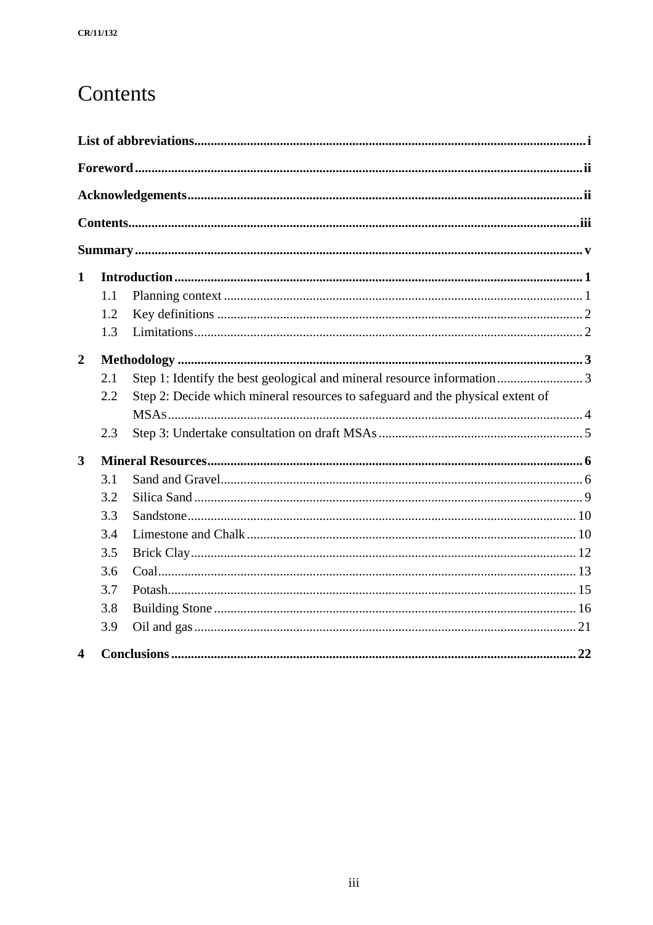# <span id="page-6-0"></span>Contents

| $\mathbf{1}$            |     |                                                                                |
|-------------------------|-----|--------------------------------------------------------------------------------|
|                         | 1.1 |                                                                                |
|                         | 1.2 |                                                                                |
|                         | 1.3 |                                                                                |
| $\overline{2}$          |     |                                                                                |
|                         | 2.1 | Step 1: Identify the best geological and mineral resource information3         |
|                         | 2.2 | Step 2: Decide which mineral resources to safeguard and the physical extent of |
|                         |     |                                                                                |
|                         | 2.3 |                                                                                |
| $\mathbf{3}$            |     |                                                                                |
|                         | 3.1 |                                                                                |
|                         | 3.2 |                                                                                |
|                         | 3.3 |                                                                                |
|                         | 3.4 |                                                                                |
|                         | 3.5 |                                                                                |
|                         | 3.6 |                                                                                |
|                         | 3.7 |                                                                                |
|                         | 3.8 |                                                                                |
|                         | 3.9 |                                                                                |
| $\overline{\mathbf{4}}$ |     |                                                                                |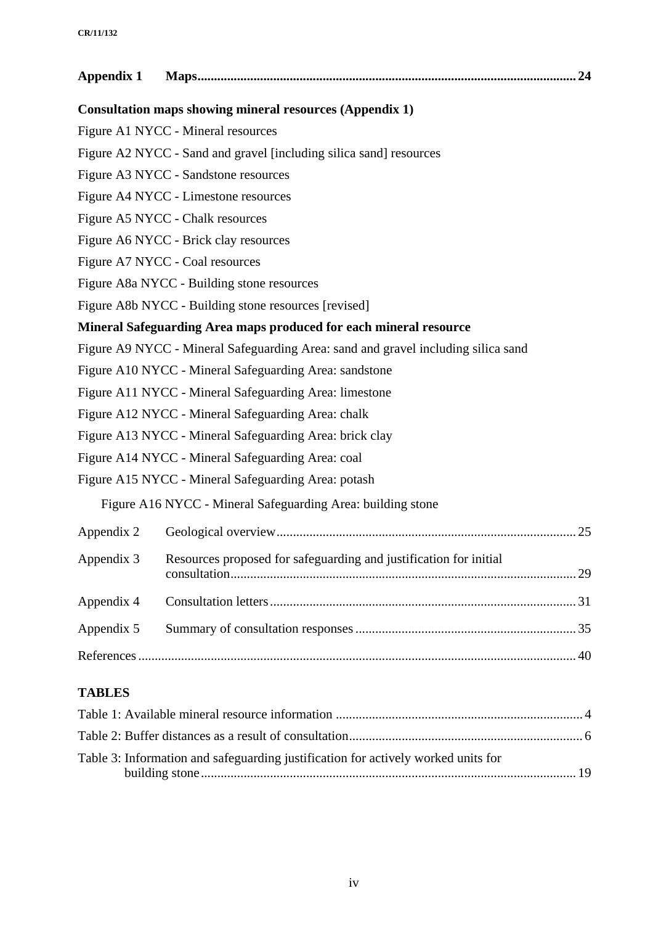| Appendix 1 |                                                                                   |  |
|------------|-----------------------------------------------------------------------------------|--|
|            | Consultation maps showing mineral resources (Appendix 1)                          |  |
|            | Figure A1 NYCC - Mineral resources                                                |  |
|            | Figure A2 NYCC - Sand and gravel [including silica sand] resources                |  |
|            | Figure A3 NYCC - Sandstone resources                                              |  |
|            | Figure A4 NYCC - Limestone resources                                              |  |
|            | Figure A5 NYCC - Chalk resources                                                  |  |
|            | Figure A6 NYCC - Brick clay resources                                             |  |
|            | Figure A7 NYCC - Coal resources                                                   |  |
|            | Figure A8a NYCC - Building stone resources                                        |  |
|            | Figure A8b NYCC - Building stone resources [revised]                              |  |
|            | Mineral Safeguarding Area maps produced for each mineral resource                 |  |
|            | Figure A9 NYCC - Mineral Safeguarding Area: sand and gravel including silica sand |  |
|            | Figure A10 NYCC - Mineral Safeguarding Area: sandstone                            |  |
|            | Figure A11 NYCC - Mineral Safeguarding Area: limestone                            |  |
|            | Figure A12 NYCC - Mineral Safeguarding Area: chalk                                |  |
|            | Figure A13 NYCC - Mineral Safeguarding Area: brick clay                           |  |
|            | Figure A14 NYCC - Mineral Safeguarding Area: coal                                 |  |
|            | Figure A15 NYCC - Mineral Safeguarding Area: potash                               |  |
|            | Figure A16 NYCC - Mineral Safeguarding Area: building stone                       |  |
| Appendix 2 |                                                                                   |  |
|            | Appendix 3 Resources proposed for safeguarding and justification for initial      |  |
| Appendix 4 |                                                                                   |  |
| Appendix 5 |                                                                                   |  |
|            |                                                                                   |  |
|            |                                                                                   |  |

# **TABLES**

| Table 3: Information and safeguarding justification for actively worked units for |  |
|-----------------------------------------------------------------------------------|--|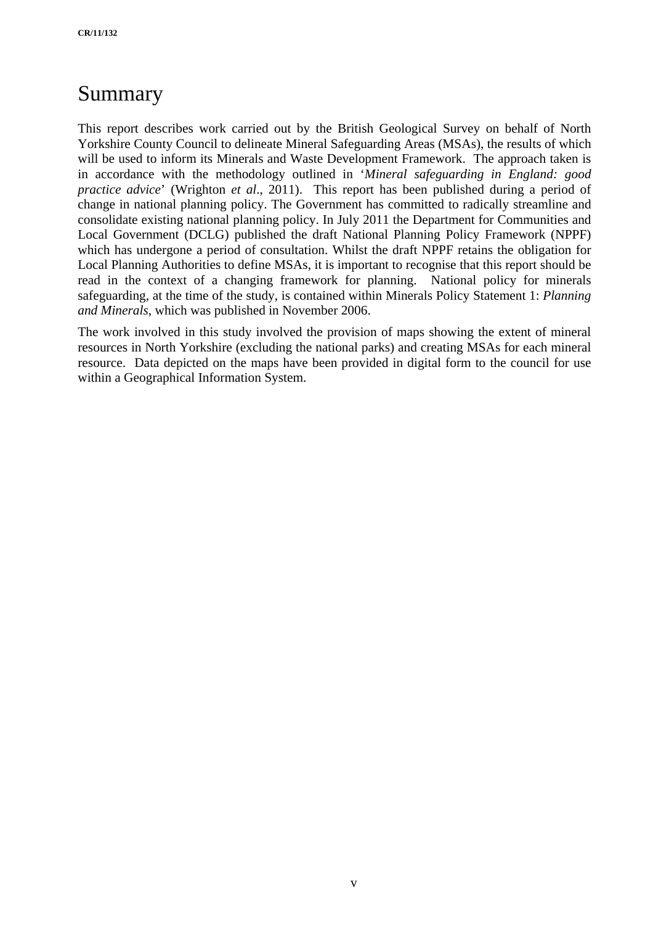# <span id="page-8-0"></span>Summary

This report describes work carried out by the British Geological Survey on behalf of North Yorkshire County Council to delineate Mineral Safeguarding Areas (MSAs), the results of which will be used to inform its Minerals and Waste Development Framework. The approach taken is in accordance with the methodology outlined in '*Mineral safeguarding in England: good practice advice*' (Wrighton *et al*., 2011). This report has been published during a period of change in national planning policy. The Government has committed to radically streamline and consolidate existing national planning policy. In July 2011 the Department for Communities and Local Government (DCLG) published the draft National Planning Policy Framework (NPPF) which has undergone a period of consultation. Whilst the draft NPPF retains the obligation for Local Planning Authorities to define MSAs, it is important to recognise that this report should be read in the context of a changing framework for planning. National policy for minerals safeguarding, at the time of the study, is contained within Minerals Policy Statement 1: *Planning and Minerals*, which was published in November 2006.

The work involved in this study involved the provision of maps showing the extent of mineral resources in North Yorkshire (excluding the national parks) and creating MSAs for each mineral resource. Data depicted on the maps have been provided in digital form to the council for use within a Geographical Information System.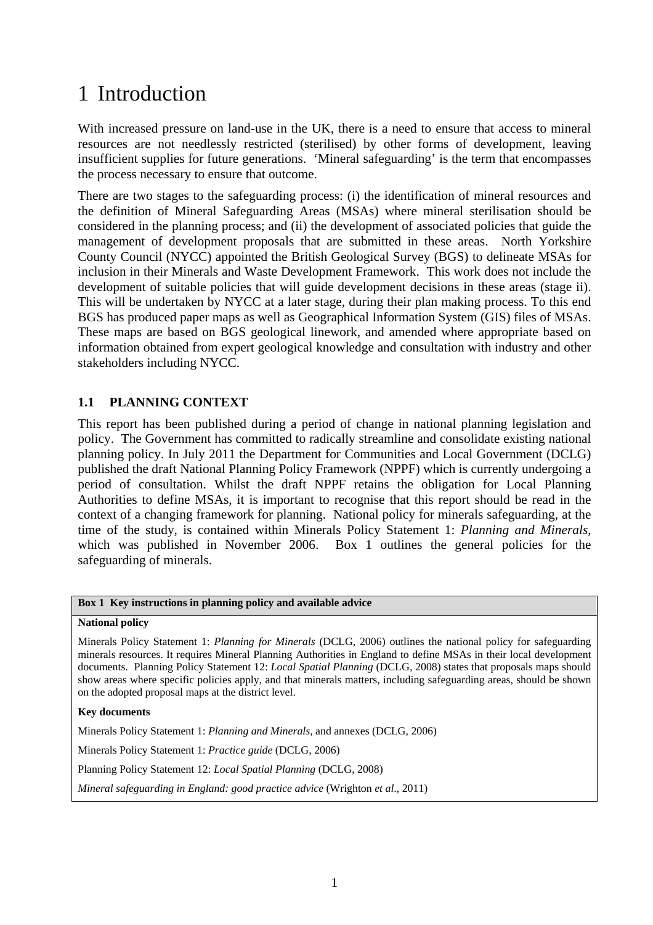# <span id="page-9-0"></span>1 Introduction

With increased pressure on land-use in the UK, there is a need to ensure that access to mineral resources are not needlessly restricted (sterilised) by other forms of development, leaving insufficient supplies for future generations. 'Mineral safeguarding' is the term that encompasses the process necessary to ensure that outcome.

There are two stages to the safeguarding process: (i) the identification of mineral resources and the definition of Mineral Safeguarding Areas (MSAs) where mineral sterilisation should be considered in the planning process; and (ii) the development of associated policies that guide the management of development proposals that are submitted in these areas. North Yorkshire County Council (NYCC) appointed the British Geological Survey (BGS) to delineate MSAs for inclusion in their Minerals and Waste Development Framework. This work does not include the development of suitable policies that will guide development decisions in these areas (stage ii). This will be undertaken by NYCC at a later stage, during their plan making process. To this end BGS has produced paper maps as well as Geographical Information System (GIS) files of MSAs. These maps are based on BGS geological linework, and amended where appropriate based on information obtained from expert geological knowledge and consultation with industry and other stakeholders including NYCC.

## **1.1 PLANNING CONTEXT**

This report has been published during a period of change in national planning legislation and policy. The Government has committed to radically streamline and consolidate existing national planning policy. In July 2011 the Department for Communities and Local Government (DCLG) published the draft National Planning Policy Framework (NPPF) which is currently undergoing a period of consultation. Whilst the draft NPPF retains the obligation for Local Planning Authorities to define MSAs, it is important to recognise that this report should be read in the context of a changing framework for planning. National policy for minerals safeguarding, at the time of the study, is contained within Minerals Policy Statement 1: *Planning and Minerals*, which was published in November 2006. Box 1 outlines the general policies for the safeguarding of minerals.

#### **Box 1 Key instructions in planning policy and available advice**

#### **National policy**

Minerals Policy Statement 1: *Planning for Minerals* (DCLG, 2006) outlines the national policy for safeguarding minerals resources. It requires Mineral Planning Authorities in England to define MSAs in their local development documents. Planning Policy Statement 12: *Local Spatial Planning* (DCLG, 2008) states that proposals maps should show areas where specific policies apply, and that minerals matters, including safeguarding areas, should be shown on the adopted proposal maps at the district level.

**Key documents** 

Minerals Policy Statement 1: *Planning and Minerals*, and annexes (DCLG, 2006)

Minerals Policy Statement 1: *Practice guide* (DCLG, 2006)

Planning Policy Statement 12: *Local Spatial Planning* (DCLG, 2008)

*Mineral safeguarding in England: good practice advice* (Wrighton *et al*., 2011)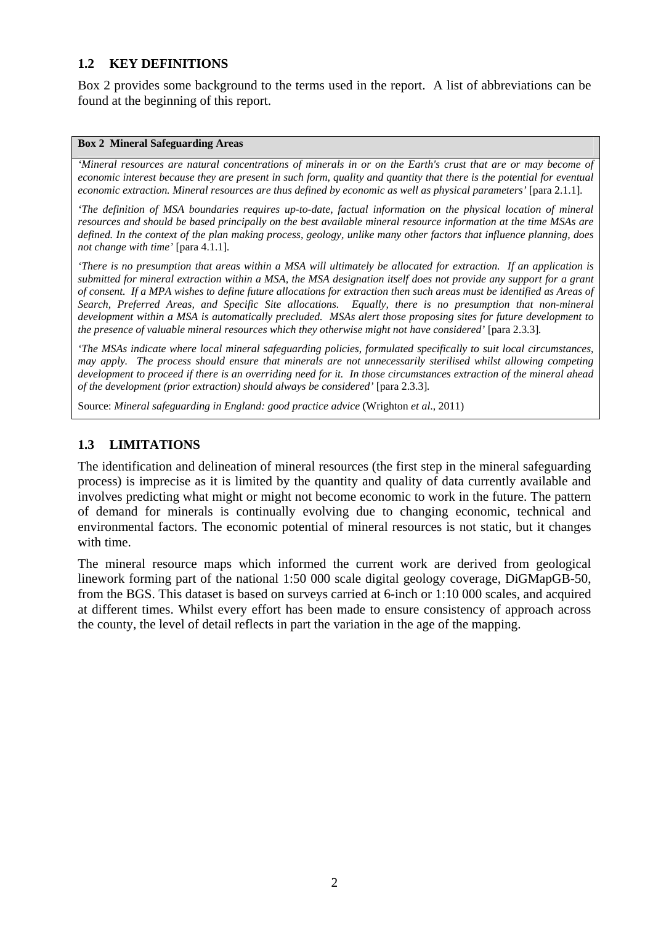## <span id="page-10-0"></span>**1.2 KEY DEFINITIONS**

Box 2 provides some background to the terms used in the report. A list of abbreviations can be found at the beginning of this report.

#### **Box 2 Mineral Safeguarding Areas**

*'Mineral resources are natural concentrations of minerals in or on the Earth's crust that are or may become of economic interest because they are present in such form, quality and quantity that there is the potential for eventual economic extraction. Mineral resources are thus defined by economic as well as physical parameters'* [para 2.1.1]*.* 

*'The definition of MSA boundaries requires up-to-date, factual information on the physical location of mineral resources and should be based principally on the best available mineral resource information at the time MSAs are defined. In the context of the plan making process, geology, unlike many other factors that influence planning, does not change with time'* [para 4.1.1]*.* 

*'There is no presumption that areas within a MSA will ultimately be allocated for extraction. If an application is submitted for mineral extraction within a MSA, the MSA designation itself does not provide any support for a grant of consent. If a MPA wishes to define future allocations for extraction then such areas must be identified as Areas of Search, Preferred Areas, and Specific Site allocations. Equally, there is no presumption that non-mineral development within a MSA is automatically precluded. MSAs alert those proposing sites for future development to the presence of valuable mineral resources which they otherwise might not have considered'* [para 2.3.3]*.* 

*'The MSAs indicate where local mineral safeguarding policies, formulated specifically to suit local circumstances, may apply. The process should ensure that minerals are not unnecessarily sterilised whilst allowing competing development to proceed if there is an overriding need for it. In those circumstances extraction of the mineral ahead of the development (prior extraction) should always be considered'* [para 2.3.3]*.* 

Source: *Mineral safeguarding in England: good practice advice* (Wrighton *et al*., 2011)

## <span id="page-10-1"></span>**1.3 LIMITATIONS**

The identification and delineation of mineral resources (the first step in the mineral safeguarding process) is imprecise as it is limited by the quantity and quality of data currently available and involves predicting what might or might not become economic to work in the future. The pattern of demand for minerals is continually evolving due to changing economic, technical and environmental factors. The economic potential of mineral resources is not static, but it changes with time.

The mineral resource maps which informed the current work are derived from geological linework forming part of the national 1:50 000 scale digital geology coverage, DiGMapGB-50, from the BGS. This dataset is based on surveys carried at 6-inch or 1:10 000 scales, and acquired at different times. Whilst every effort has been made to ensure consistency of approach across the county, the level of detail reflects in part the variation in the age of the mapping.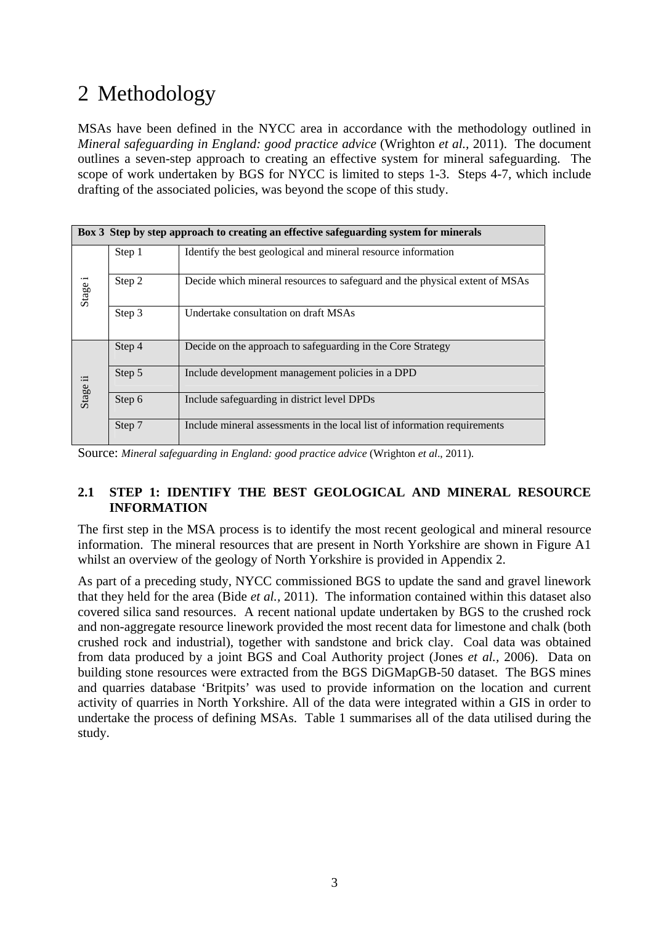# <span id="page-11-0"></span>2 Methodology

MSAs have been defined in the NYCC area in accordance with the methodology outlined in *Mineral safeguarding in England: good practice advice* (Wrighton *et al.,* 2011). The document outlines a seven-step approach to creating an effective system for mineral safeguarding. The scope of work undertaken by BGS for NYCC is limited to steps 1-3. Steps 4-7, which include drafting of the associated policies, was beyond the scope of this study.

|          |        | Box 3 Step by step approach to creating an effective safeguarding system for minerals |
|----------|--------|---------------------------------------------------------------------------------------|
|          | Step 1 | Identify the best geological and mineral resource information                         |
| Stage i  | Step 2 | Decide which mineral resources to safeguard and the physical extent of MSAs           |
|          | Step 3 | Undertake consultation on draft MSAs                                                  |
|          | Step 4 | Decide on the approach to safeguarding in the Core Strategy                           |
| Stage ii | Step 5 | Include development management policies in a DPD                                      |
|          | Step 6 | Include safeguarding in district level DPDs                                           |
|          | Step 7 | Include mineral assessments in the local list of information requirements             |

Source: *Mineral safeguarding in England: good practice advice* (Wrighton *et al*., 2011).

## **2.1 STEP 1: IDENTIFY THE BEST GEOLOGICAL AND MINERAL RESOURCE INFORMATION**

The first step in the MSA process is to identify the most recent geological and mineral resource information. The mineral resources that are present in North Yorkshire are shown in Figure A1 whilst an overview of the geology of North Yorkshire is provided in Appendix 2.

As part of a preceding study, NYCC commissioned BGS to update the sand and gravel linework that they held for the area (Bide *et al.,* 2011). The information contained within this dataset also covered silica sand resources. A recent national update undertaken by BGS to the crushed rock and non-aggregate resource linework provided the most recent data for limestone and chalk (both crushed rock and industrial), together with sandstone and brick clay. Coal data was obtained from data produced by a joint BGS and Coal Authority project (Jones *et al.,* 2006). Data on building stone resources were extracted from the BGS DiGMapGB-50 dataset. The BGS mines and quarries database 'Britpits' was used to provide information on the location and current activity of quarries in North Yorkshire. All of the data were integrated within a GIS in order to undertake the process of defining MSAs. Table 1 summarises all of the data utilised during the study.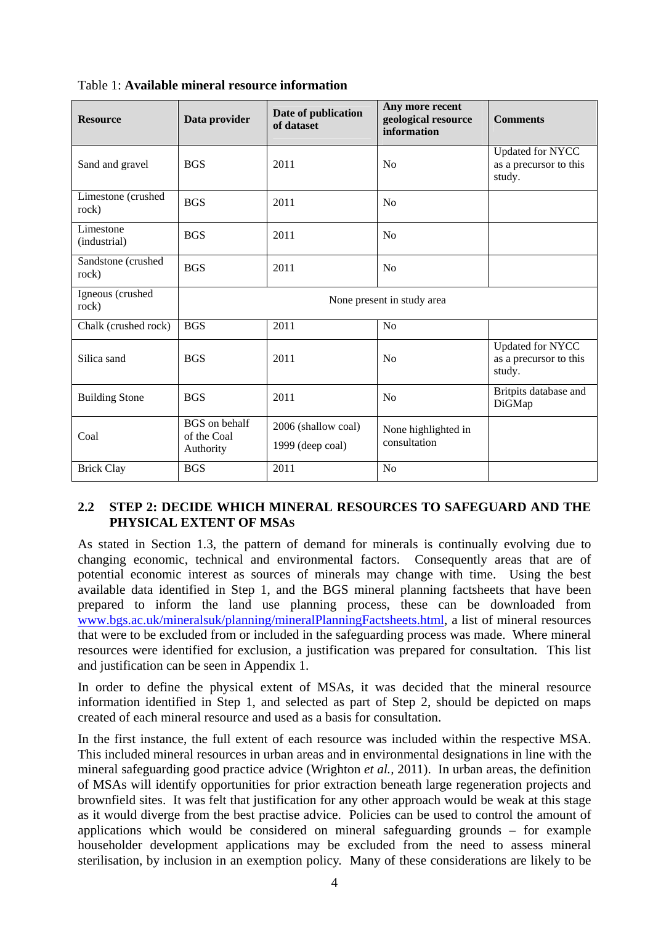| <b>Resource</b>             | Data provider                                    | Date of publication<br>of dataset       | Any more recent<br>geological resource<br>information | <b>Comments</b>                                             |
|-----------------------------|--------------------------------------------------|-----------------------------------------|-------------------------------------------------------|-------------------------------------------------------------|
| Sand and gravel             | <b>BGS</b>                                       | 2011                                    | N <sub>o</sub>                                        | <b>Updated for NYCC</b><br>as a precursor to this<br>study. |
| Limestone (crushed<br>rock) | <b>BGS</b>                                       | 2011                                    | No                                                    |                                                             |
| Limestone<br>(industrial)   | <b>BGS</b>                                       | 2011                                    | No                                                    |                                                             |
| Sandstone (crushed<br>rock) | <b>BGS</b>                                       | 2011                                    | No                                                    |                                                             |
| Igneous (crushed<br>rock)   |                                                  |                                         | None present in study area                            |                                                             |
| Chalk (crushed rock)        | <b>BGS</b>                                       | 2011                                    | No                                                    |                                                             |
| Silica sand                 | <b>BGS</b>                                       | 2011                                    | N <sub>0</sub>                                        | <b>Updated for NYCC</b><br>as a precursor to this<br>study. |
| <b>Building Stone</b>       | <b>BGS</b>                                       | 2011                                    | N <sub>0</sub>                                        | Britpits database and<br>DiGMap                             |
| Coal                        | <b>BGS</b> on behalf<br>of the Coal<br>Authority | 2006 (shallow coal)<br>1999 (deep coal) | None highlighted in<br>consultation                   |                                                             |
| <b>Brick Clay</b>           | <b>BGS</b>                                       | 2011                                    | No                                                    |                                                             |

<span id="page-12-0"></span>Table 1: **Available mineral resource information**

## <span id="page-12-1"></span>**2.2 STEP 2: DECIDE WHICH MINERAL RESOURCES TO SAFEGUARD AND THE PHYSICAL EXTENT OF MSAS**

As stated in Section [1.3](#page-10-1), the pattern of demand for minerals is continually evolving due to changing economic, technical and environmental factors. Consequently areas that are of potential economic interest as sources of minerals may change with time. Using the best available data identified in Step 1, and the BGS mineral planning factsheets that have been prepared to inform the land use planning process, these can be downloaded from [www.bgs.ac.uk/mineralsuk/planning/mineralPlanningFactsheets.html,](http://www.bgs.ac.uk/mineralsuk/planning/mineralPlanningFactsheets.html) a list of mineral resources that were to be excluded from or included in the safeguarding process was made. Where mineral resources were identified for exclusion, a justification was prepared for consultation. This list and justification can be seen in Appendix 1.

In order to define the physical extent of MSAs, it was decided that the mineral resource information identified in Step 1, and selected as part of Step 2, should be depicted on maps created of each mineral resource and used as a basis for consultation.

In the first instance, the full extent of each resource was included within the respective MSA. This included mineral resources in urban areas and in environmental designations in line with the mineral safeguarding good practice advice (Wrighton *et al.,* 2011). In urban areas, the definition of MSAs will identify opportunities for prior extraction beneath large regeneration projects and brownfield sites. It was felt that justification for any other approach would be weak at this stage as it would diverge from the best practise advice. Policies can be used to control the amount of applications which would be considered on mineral safeguarding grounds – for example householder development applications may be excluded from the need to assess mineral sterilisation, by inclusion in an exemption policy. Many of these considerations are likely to be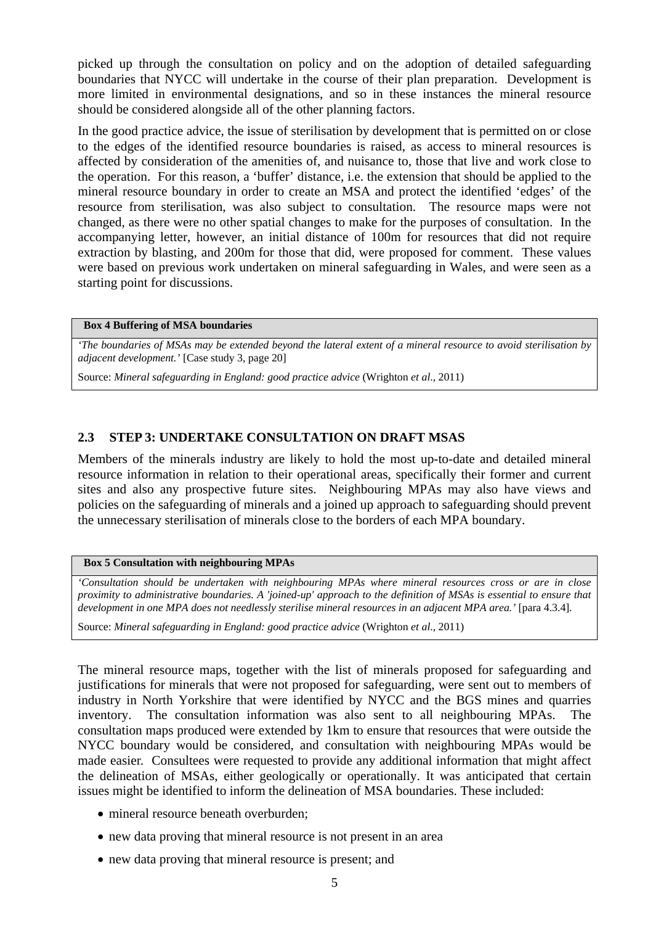<span id="page-13-0"></span>picked up through the consultation on policy and on the adoption of detailed safeguarding boundaries that NYCC will undertake in the course of their plan preparation. Development is more limited in environmental designations, and so in these instances the mineral resource should be considered alongside all of the other planning factors.

In the good practice advice, the issue of sterilisation by development that is permitted on or close to the edges of the identified resource boundaries is raised, as access to mineral resources is affected by consideration of the amenities of, and nuisance to, those that live and work close to the operation. For this reason, a 'buffer' distance, i.e. the extension that should be applied to the mineral resource boundary in order to create an MSA and protect the identified 'edges' of the resource from sterilisation, was also subject to consultation. The resource maps were not changed, as there were no other spatial changes to make for the purposes of consultation. In the accompanying letter, however, an initial distance of 100m for resources that did not require extraction by blasting, and 200m for those that did, were proposed for comment. These values were based on previous work undertaken on mineral safeguarding in Wales, and were seen as a starting point for discussions.

#### **Box 4 Buffering of MSA boundaries**

*'The boundaries of MSAs may be extended beyond the lateral extent of a mineral resource to avoid sterilisation by adjacent development.'* [Case study 3, page 20]

Source: *Mineral safeguarding in England: good practice advice* (Wrighton *et al*., 2011)

#### **2.3 STEP 3: UNDERTAKE CONSULTATION ON DRAFT MSAS**

Members of the minerals industry are likely to hold the most up-to-date and detailed mineral resource information in relation to their operational areas, specifically their former and current sites and also any prospective future sites. Neighbouring MPAs may also have views and policies on the safeguarding of minerals and a joined up approach to safeguarding should prevent the unnecessary sterilisation of minerals close to the borders of each MPA boundary.

#### **Box 5 Consultation with neighbouring MPAs**

*'Consultation should be undertaken with neighbouring MPAs where mineral resources cross or are in close proximity to administrative boundaries. A 'joined-up' approach to the definition of MSAs is essential to ensure that development in one MPA does not needlessly sterilise mineral resources in an adjacent MPA area.'* [para 4.3.4]*.* 

Source: *Mineral safeguarding in England: good practice advice* (Wrighton *et al*., 2011)

The mineral resource maps, together with the list of minerals proposed for safeguarding and justifications for minerals that were not proposed for safeguarding, were sent out to members of industry in North Yorkshire that were identified by NYCC and the BGS mines and quarries inventory. The consultation information was also sent to all neighbouring MPAs. The consultation maps produced were extended by 1km to ensure that resources that were outside the NYCC boundary would be considered, and consultation with neighbouring MPAs would be made easier. Consultees were requested to provide any additional information that might affect the delineation of MSAs, either geologically or operationally. It was anticipated that certain issues might be identified to inform the delineation of MSA boundaries. These included:

- mineral resource beneath overburden:
- new data proving that mineral resource is not present in an area
- new data proving that mineral resource is present; and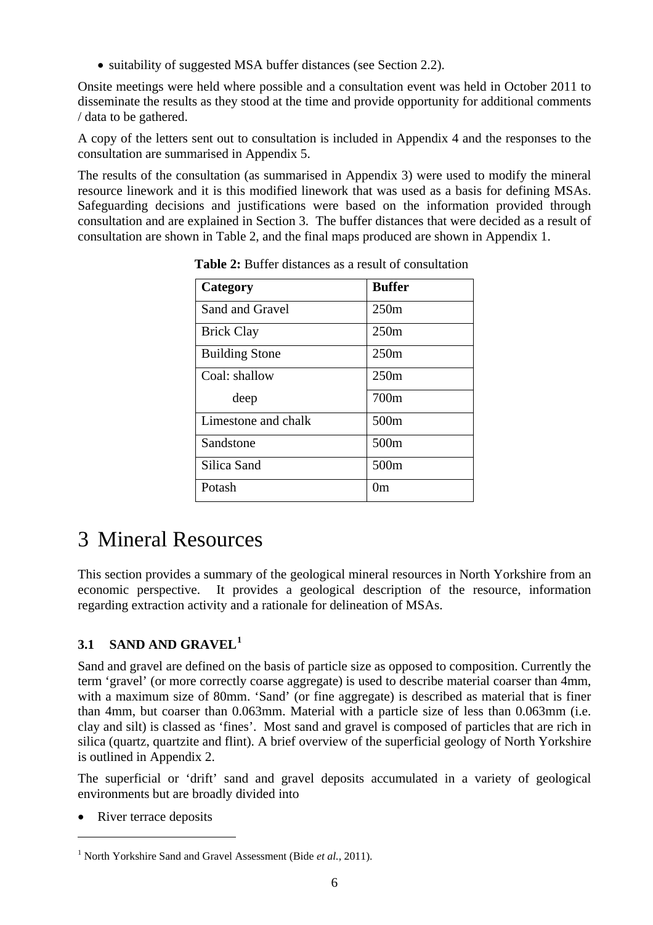• suitability of suggested MSA buffer distances (see Section [2.2](#page-12-1)).

<span id="page-14-0"></span>Onsite meetings were held where possible and a consultation event was held in October 2011 to disseminate the results as they stood at the time and provide opportunity for additional comments / data to be gathered.

A copy of the letters sent out to consultation is included in Appendix 4 and the responses to the consultation are summarised in Appendix 5.

<span id="page-14-2"></span>The results of the consultation (as summarised in Appendix 3) were used to modify the mineral resource linework and it is this modified linework that was used as a basis for defining MSAs. Safeguarding decisions and justifications were based on the information provided through consultation and are explained in Section [3](#page-14-1). The buffer distances that were decided as a result of consultation are shown in [Table 2](#page-14-2), and the final maps produced are shown in Appendix 1.

| Category              | <b>Buffer</b>    |
|-----------------------|------------------|
| Sand and Gravel       | 250m             |
| <b>Brick Clay</b>     | 250m             |
| <b>Building Stone</b> | 250m             |
| Coal: shallow         | 250m             |
| deep                  | 700m             |
| Limestone and chalk   | 500m             |
| Sandstone             | 500m             |
| Silica Sand           | 500 <sub>m</sub> |
| Potash                | 0m               |

**Table 2:** Buffer distances as a result of consultation

# <span id="page-14-1"></span>3 Mineral Resources

This section provides a summary of the geological mineral resources in North Yorkshire from an economic perspective. It provides a geological description of the resource, information regarding extraction activity and a rationale for delineation of MSAs.

# **3.1 SAND AND GRAVEL[1](#page-14-0)**

Sand and gravel are defined on the basis of particle size as opposed to composition. Currently the term 'gravel' (or more correctly coarse aggregate) is used to describe material coarser than 4mm, with a maximum size of 80mm. 'Sand' (or fine aggregate) is described as material that is finer than 4mm, but coarser than 0.063mm. Material with a particle size of less than 0.063mm (i.e. clay and silt) is classed as 'fines'. Most sand and gravel is composed of particles that are rich in silica (quartz, quartzite and flint). A brief overview of the superficial geology of North Yorkshire is outlined in Appendix 2.

The superficial or 'drift' sand and gravel deposits accumulated in a variety of geological environments but are broadly divided into

River terrace deposits

 $\overline{a}$ 

<sup>&</sup>lt;sup>1</sup> North Yorkshire Sand and Gravel Assessment (Bide *et al.,* 2011).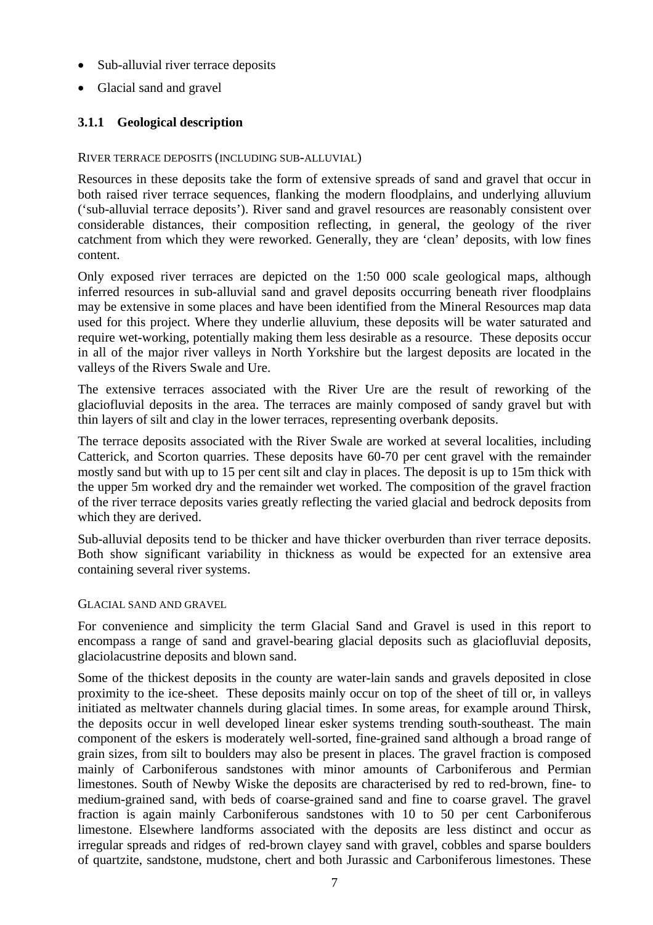- Sub-alluvial river terrace deposits
- Glacial sand and gravel

#### **3.1.1 Geological description**

#### RIVER TERRACE DEPOSITS (INCLUDING SUB-ALLUVIAL)

Resources in these deposits take the form of extensive spreads of sand and gravel that occur in both raised river terrace sequences, flanking the modern floodplains, and underlying alluvium ('sub-alluvial terrace deposits'). River sand and gravel resources are reasonably consistent over considerable distances, their composition reflecting, in general, the geology of the river catchment from which they were reworked. Generally, they are 'clean' deposits, with low fines content.

Only exposed river terraces are depicted on the 1:50 000 scale geological maps, although inferred resources in sub-alluvial sand and gravel deposits occurring beneath river floodplains may be extensive in some places and have been identified from the Mineral Resources map data used for this project. Where they underlie alluvium, these deposits will be water saturated and require wet-working, potentially making them less desirable as a resource. These deposits occur in all of the major river valleys in North Yorkshire but the largest deposits are located in the valleys of the Rivers Swale and Ure.

The extensive terraces associated with the River Ure are the result of reworking of the glaciofluvial deposits in the area. The terraces are mainly composed of sandy gravel but with thin layers of silt and clay in the lower terraces, representing overbank deposits.

The terrace deposits associated with the River Swale are worked at several localities, including Catterick, and Scorton quarries. These deposits have 60-70 per cent gravel with the remainder mostly sand but with up to 15 per cent silt and clay in places. The deposit is up to 15m thick with the upper 5m worked dry and the remainder wet worked. The composition of the gravel fraction of the river terrace deposits varies greatly reflecting the varied glacial and bedrock deposits from which they are derived.

Sub-alluvial deposits tend to be thicker and have thicker overburden than river terrace deposits. Both show significant variability in thickness as would be expected for an extensive area containing several river systems.

#### GLACIAL SAND AND GRAVEL

For convenience and simplicity the term Glacial Sand and Gravel is used in this report to encompass a range of sand and gravel-bearing glacial deposits such as glaciofluvial deposits, glaciolacustrine deposits and blown sand.

Some of the thickest deposits in the county are water-lain sands and gravels deposited in close proximity to the ice-sheet. These deposits mainly occur on top of the sheet of till or, in valleys initiated as meltwater channels during glacial times. In some areas, for example around Thirsk, the deposits occur in well developed linear esker systems trending south-southeast. The main component of the eskers is moderately well-sorted, fine-grained sand although a broad range of grain sizes, from silt to boulders may also be present in places. The gravel fraction is composed mainly of Carboniferous sandstones with minor amounts of Carboniferous and Permian limestones. South of Newby Wiske the deposits are characterised by red to red-brown, fine- to medium-grained sand, with beds of coarse-grained sand and fine to coarse gravel. The gravel fraction is again mainly Carboniferous sandstones with 10 to 50 per cent Carboniferous limestone. Elsewhere landforms associated with the deposits are less distinct and occur as irregular spreads and ridges of red-brown clayey sand with gravel, cobbles and sparse boulders of quartzite, sandstone, mudstone, chert and both Jurassic and Carboniferous limestones. These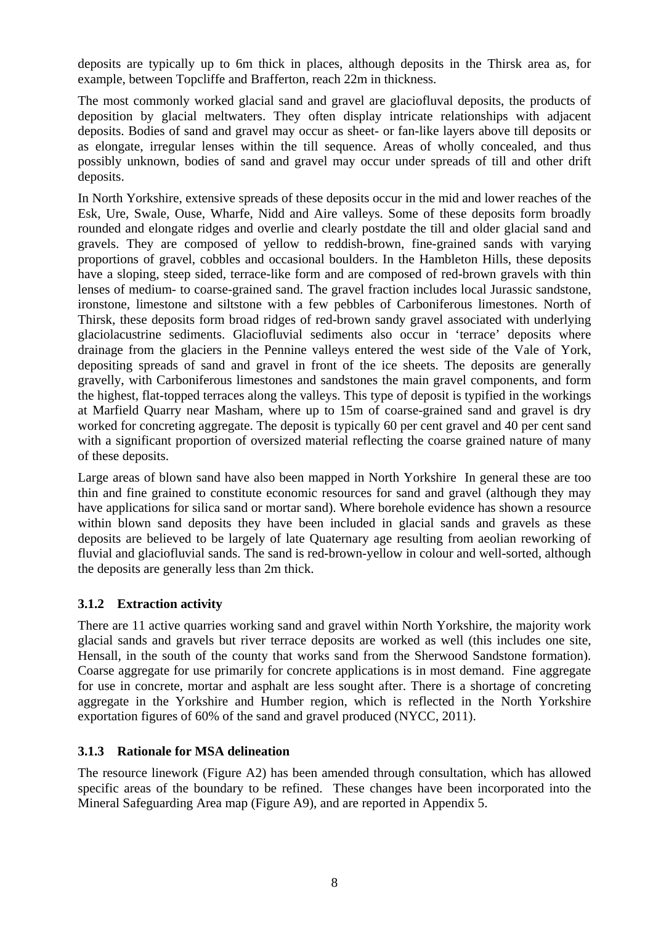deposits are typically up to 6m thick in places, although deposits in the Thirsk area as, for example, between Topcliffe and Brafferton, reach 22m in thickness.

The most commonly worked glacial sand and gravel are glaciofluval deposits, the products of deposition by glacial meltwaters. They often display intricate relationships with adjacent deposits. Bodies of sand and gravel may occur as sheet- or fan-like layers above till deposits or as elongate, irregular lenses within the till sequence. Areas of wholly concealed, and thus possibly unknown, bodies of sand and gravel may occur under spreads of till and other drift deposits.

In North Yorkshire, extensive spreads of these deposits occur in the mid and lower reaches of the Esk, Ure, Swale, Ouse, Wharfe, Nidd and Aire valleys. Some of these deposits form broadly rounded and elongate ridges and overlie and clearly postdate the till and older glacial sand and gravels. They are composed of yellow to reddish-brown, fine-grained sands with varying proportions of gravel, cobbles and occasional boulders. In the Hambleton Hills, these deposits have a sloping, steep sided, terrace-like form and are composed of red-brown gravels with thin lenses of medium- to coarse-grained sand. The gravel fraction includes local Jurassic sandstone, ironstone, limestone and siltstone with a few pebbles of Carboniferous limestones. North of Thirsk, these deposits form broad ridges of red-brown sandy gravel associated with underlying glaciolacustrine sediments. Glaciofluvial sediments also occur in 'terrace' deposits where drainage from the glaciers in the Pennine valleys entered the west side of the Vale of York, depositing spreads of sand and gravel in front of the ice sheets. The deposits are generally gravelly, with Carboniferous limestones and sandstones the main gravel components, and form the highest, flat-topped terraces along the valleys. This type of deposit is typified in the workings at Marfield Quarry near Masham, where up to 15m of coarse-grained sand and gravel is dry worked for concreting aggregate. The deposit is typically 60 per cent gravel and 40 per cent sand with a significant proportion of oversized material reflecting the coarse grained nature of many of these deposits.

Large areas of blown sand have also been mapped in North Yorkshire In general these are too thin and fine grained to constitute economic resources for sand and gravel (although they may have applications for silica sand or mortar sand). Where borehole evidence has shown a resource within blown sand deposits they have been included in glacial sands and gravels as these deposits are believed to be largely of late Quaternary age resulting from aeolian reworking of fluvial and glaciofluvial sands. The sand is red-brown-yellow in colour and well-sorted, although the deposits are generally less than 2m thick.

# **3.1.2 Extraction activity**

There are 11 active quarries working sand and gravel within North Yorkshire, the majority work glacial sands and gravels but river terrace deposits are worked as well (this includes one site, Hensall, in the south of the county that works sand from the Sherwood Sandstone formation). Coarse aggregate for use primarily for concrete applications is in most demand. Fine aggregate for use in concrete, mortar and asphalt are less sought after. There is a shortage of concreting aggregate in the Yorkshire and Humber region, which is reflected in the North Yorkshire exportation figures of 60% of the sand and gravel produced (NYCC, 2011).

#### **3.1.3 Rationale for MSA delineation**

The resource linework (Figure A2) has been amended through consultation, which has allowed specific areas of the boundary to be refined. These changes have been incorporated into the Mineral Safeguarding Area map (Figure A9), and are reported in Appendix 5.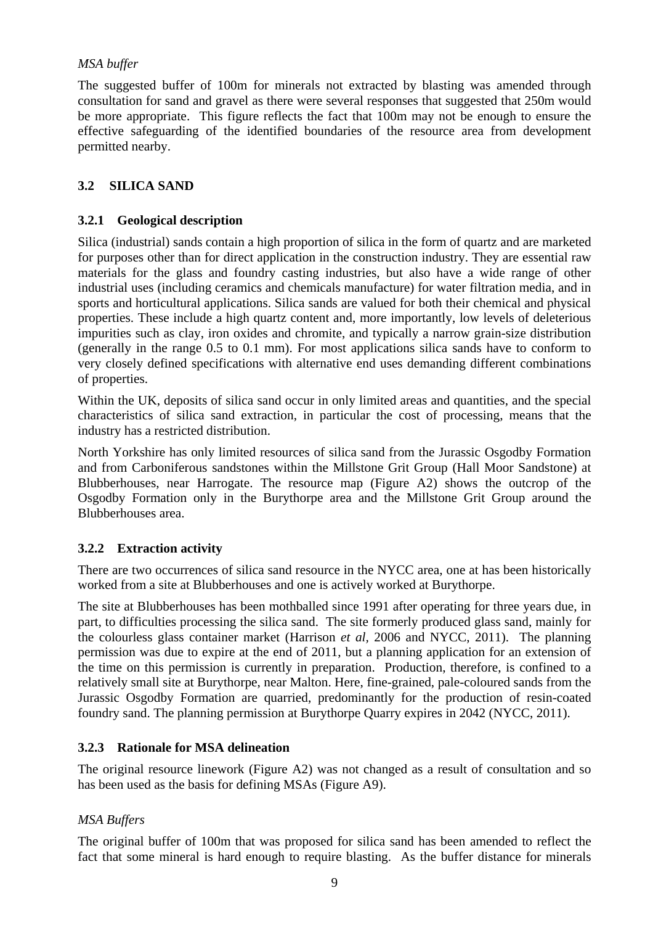## <span id="page-17-0"></span>*MSA buffer*

The suggested buffer of 100m for minerals not extracted by blasting was amended through consultation for sand and gravel as there were several responses that suggested that 250m would be more appropriate. This figure reflects the fact that 100m may not be enough to ensure the effective safeguarding of the identified boundaries of the resource area from development permitted nearby.

# **3.2 SILICA SAND**

## **3.2.1 Geological description**

Silica (industrial) sands contain a high proportion of silica in the form of quartz and are marketed for purposes other than for direct application in the construction industry. They are essential raw materials for the glass and foundry casting industries, but also have a wide range of other industrial uses (including ceramics and chemicals manufacture) for water filtration media, and in sports and horticultural applications. Silica sands are valued for both their chemical and physical properties. These include a high quartz content and, more importantly, low levels of deleterious impurities such as clay, iron oxides and chromite, and typically a narrow grain-size distribution (generally in the range 0.5 to 0.1 mm). For most applications silica sands have to conform to very closely defined specifications with alternative end uses demanding different combinations of properties.

Within the UK, deposits of silica sand occur in only limited areas and quantities, and the special characteristics of silica sand extraction, in particular the cost of processing, means that the industry has a restricted distribution.

North Yorkshire has only limited resources of silica sand from the Jurassic Osgodby Formation and from Carboniferous sandstones within the Millstone Grit Group (Hall Moor Sandstone) at Blubberhouses, near Harrogate. The resource map (Figure A2) shows the outcrop of the Osgodby Formation only in the Burythorpe area and the Millstone Grit Group around the Blubberhouses area.

#### **3.2.2 Extraction activity**

There are two occurrences of silica sand resource in the NYCC area, one at has been historically worked from a site at Blubberhouses and one is actively worked at Burythorpe.

The site at Blubberhouses has been mothballed since 1991 after operating for three years due, in part, to difficulties processing the silica sand. The site formerly produced glass sand, mainly for the colourless glass container market (Harrison *et al,* 2006 and NYCC, 2011). The planning permission was due to expire at the end of 2011, but a planning application for an extension of the time on this permission is currently in preparation. Production, therefore, is confined to a relatively small site at Burythorpe, near Malton. Here, fine-grained, pale-coloured sands from the Jurassic Osgodby Formation are quarried, predominantly for the production of resin-coated foundry sand. The planning permission at Burythorpe Quarry expires in 2042 (NYCC, 2011).

#### **3.2.3 Rationale for MSA delineation**

The original resource linework (Figure A2) was not changed as a result of consultation and so has been used as the basis for defining MSAs (Figure A9).

#### *MSA Buffers*

The original buffer of 100m that was proposed for silica sand has been amended to reflect the fact that some mineral is hard enough to require blasting. As the buffer distance for minerals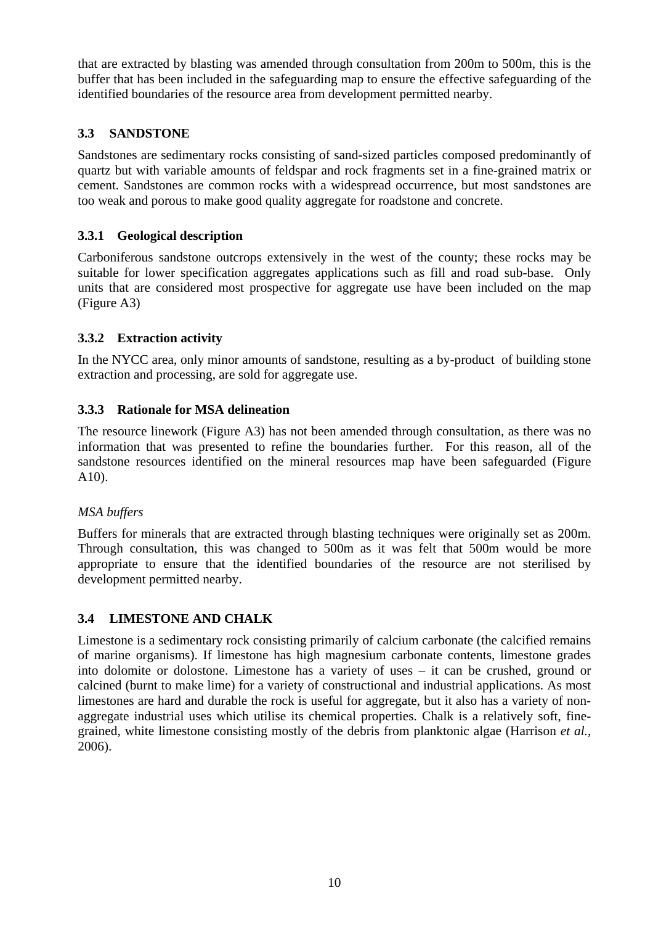<span id="page-18-0"></span>that are extracted by blasting was amended through consultation from 200m to 500m, this is the buffer that has been included in the safeguarding map to ensure the effective safeguarding of the identified boundaries of the resource area from development permitted nearby.

## **3.3 SANDSTONE**

Sandstones are sedimentary rocks consisting of sand-sized particles composed predominantly of quartz but with variable amounts of feldspar and rock fragments set in a fine-grained matrix or cement. Sandstones are common rocks with a widespread occurrence, but most sandstones are too weak and porous to make good quality aggregate for roadstone and concrete.

## **3.3.1 Geological description**

Carboniferous sandstone outcrops extensively in the west of the county; these rocks may be suitable for lower specification aggregates applications such as fill and road sub-base. Only units that are considered most prospective for aggregate use have been included on the map (Figure A3)

## **3.3.2 Extraction activity**

In the NYCC area, only minor amounts of sandstone, resulting as a by-product of building stone extraction and processing, are sold for aggregate use.

## **3.3.3 Rationale for MSA delineation**

The resource linework (Figure A3) has not been amended through consultation, as there was no information that was presented to refine the boundaries further. For this reason, all of the sandstone resources identified on the mineral resources map have been safeguarded (Figure  $A10$ ).

#### *MSA buffers*

Buffers for minerals that are extracted through blasting techniques were originally set as 200m. Through consultation, this was changed to 500m as it was felt that 500m would be more appropriate to ensure that the identified boundaries of the resource are not sterilised by development permitted nearby.

# **3.4 LIMESTONE AND CHALK**

Limestone is a sedimentary rock consisting primarily of calcium carbonate (the calcified remains of marine organisms). If limestone has high magnesium carbonate contents, limestone grades into dolomite or dolostone. Limestone has a variety of uses – it can be crushed, ground or calcined (burnt to make lime) for a variety of constructional and industrial applications. As most limestones are hard and durable the rock is useful for aggregate, but it also has a variety of nonaggregate industrial uses which utilise its chemical properties. Chalk is a relatively soft, finegrained, white limestone consisting mostly of the debris from planktonic algae (Harrison *et al.*, 2006).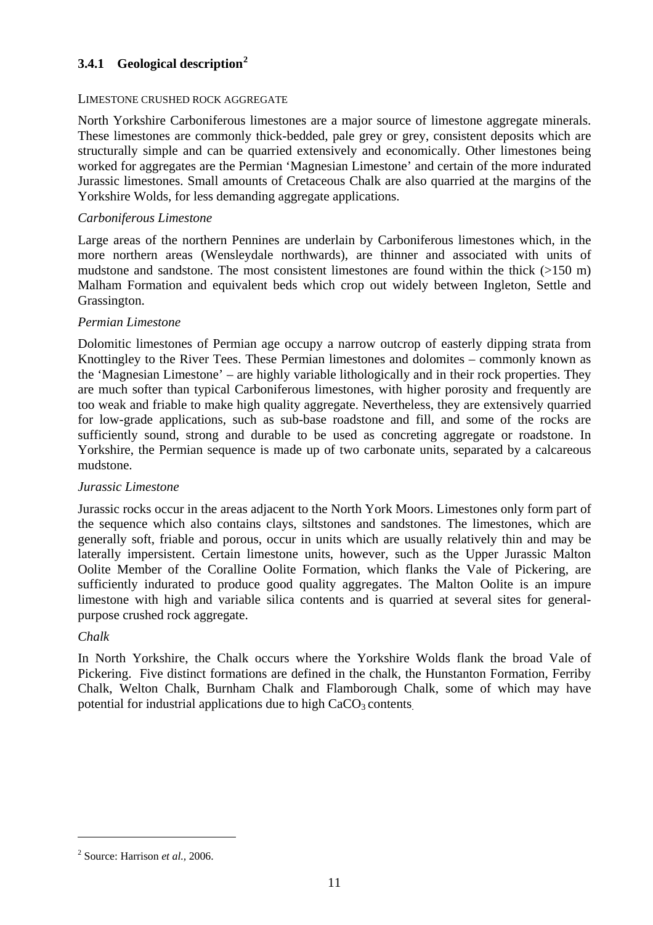## <span id="page-19-0"></span>**3.4.1 Geological description[2](#page-19-0)**

#### LIMESTONE CRUSHED ROCK AGGREGATE

North Yorkshire Carboniferous limestones are a major source of limestone aggregate minerals. These limestones are commonly thick-bedded, pale grey or grey, consistent deposits which are structurally simple and can be quarried extensively and economically. Other limestones being worked for aggregates are the Permian 'Magnesian Limestone' and certain of the more indurated Jurassic limestones. Small amounts of Cretaceous Chalk are also quarried at the margins of the Yorkshire Wolds, for less demanding aggregate applications.

#### *Carboniferous Limestone*

Large areas of the northern Pennines are underlain by Carboniferous limestones which, in the more northern areas (Wensleydale northwards), are thinner and associated with units of mudstone and sandstone. The most consistent limestones are found within the thick (>150 m) Malham Formation and equivalent beds which crop out widely between Ingleton, Settle and Grassington.

#### *Permian Limestone*

Dolomitic limestones of Permian age occupy a narrow outcrop of easterly dipping strata from Knottingley to the River Tees. These Permian limestones and dolomites – commonly known as the 'Magnesian Limestone' – are highly variable lithologically and in their rock properties. They are much softer than typical Carboniferous limestones, with higher porosity and frequently are too weak and friable to make high quality aggregate. Nevertheless, they are extensively quarried for low-grade applications, such as sub-base roadstone and fill, and some of the rocks are sufficiently sound, strong and durable to be used as concreting aggregate or roadstone. In Yorkshire, the Permian sequence is made up of two carbonate units, separated by a calcareous mudstone.

#### *Jurassic Limestone*

Jurassic rocks occur in the areas adjacent to the North York Moors. Limestones only form part of the sequence which also contains clays, siltstones and sandstones. The limestones, which are generally soft, friable and porous, occur in units which are usually relatively thin and may be laterally impersistent. Certain limestone units, however, such as the Upper Jurassic Malton Oolite Member of the Coralline Oolite Formation, which flanks the Vale of Pickering, are sufficiently indurated to produce good quality aggregates. The Malton Oolite is an impure limestone with high and variable silica contents and is quarried at several sites for generalpurpose crushed rock aggregate.

#### *Chalk*

 $\overline{a}$ 

In North Yorkshire, the Chalk occurs where the Yorkshire Wolds flank the broad Vale of Pickering. Five distinct formations are defined in the chalk, the Hunstanton Formation, Ferriby Chalk, Welton Chalk, Burnham Chalk and Flamborough Chalk, some of which may have potential for industrial applications due to high  $CaCO<sub>3</sub>$  contents.

<sup>2</sup> Source: Harrison *et al.,* 2006.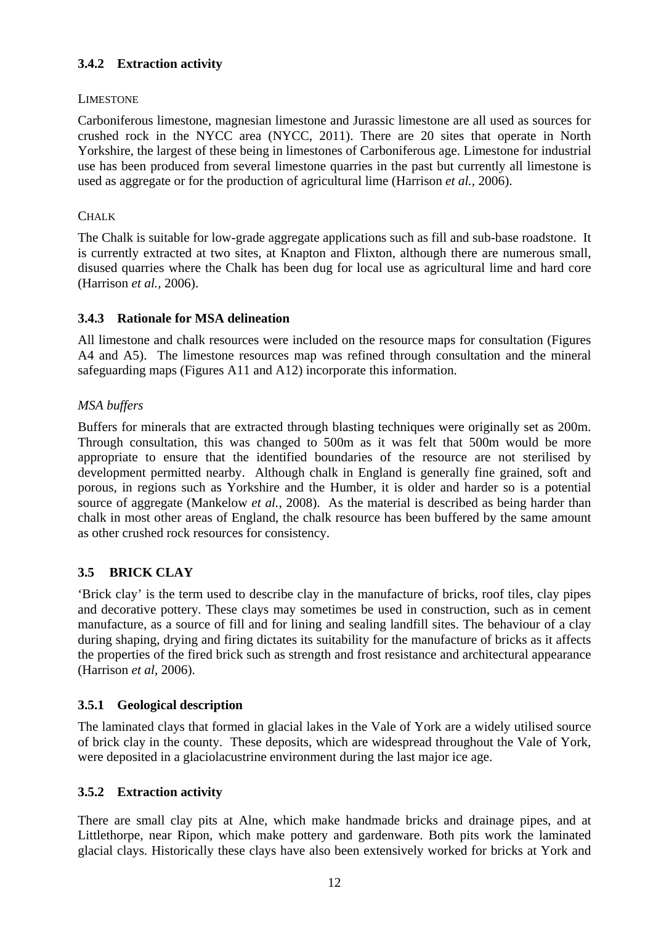# <span id="page-20-0"></span>**3.4.2 Extraction activity**

## LIMESTONE

Carboniferous limestone, magnesian limestone and Jurassic limestone are all used as sources for crushed rock in the NYCC area (NYCC, 2011). There are 20 sites that operate in North Yorkshire, the largest of these being in limestones of Carboniferous age. Limestone for industrial use has been produced from several limestone quarries in the past but currently all limestone is used as aggregate or for the production of agricultural lime (Harrison *et al.,* 2006).

## CHALK

The Chalk is suitable for low-grade aggregate applications such as fill and sub-base roadstone. It is currently extracted at two sites, at Knapton and Flixton, although there are numerous small, disused quarries where the Chalk has been dug for local use as agricultural lime and hard core (Harrison *et al.,* 2006).

## **3.4.3 Rationale for MSA delineation**

All limestone and chalk resources were included on the resource maps for consultation (Figures A4 and A5). The limestone resources map was refined through consultation and the mineral safeguarding maps (Figures A11 and A12) incorporate this information.

## *MSA buffers*

Buffers for minerals that are extracted through blasting techniques were originally set as 200m. Through consultation, this was changed to 500m as it was felt that 500m would be more appropriate to ensure that the identified boundaries of the resource are not sterilised by development permitted nearby. Although chalk in England is generally fine grained, soft and porous, in regions such as Yorkshire and the Humber, it is older and harder so is a potential source of aggregate (Mankelow *et al.,* 2008). As the material is described as being harder than chalk in most other areas of England, the chalk resource has been buffered by the same amount as other crushed rock resources for consistency.

# **3.5 BRICK CLAY**

'Brick clay' is the term used to describe clay in the manufacture of bricks, roof tiles, clay pipes and decorative pottery. These clays may sometimes be used in construction, such as in cement manufacture, as a source of fill and for lining and sealing landfill sites. The behaviour of a clay during shaping, drying and firing dictates its suitability for the manufacture of bricks as it affects the properties of the fired brick such as strength and frost resistance and architectural appearance (Harrison *et al*, 2006).

# **3.5.1 Geological description**

The laminated clays that formed in glacial lakes in the Vale of York are a widely utilised source of brick clay in the county. These deposits, which are widespread throughout the Vale of York, were deposited in a glaciolacustrine environment during the last major ice age.

#### **3.5.2 Extraction activity**

There are small clay pits at Alne, which make handmade bricks and drainage pipes, and at Littlethorpe, near Ripon, which make pottery and gardenware. Both pits work the laminated glacial clays. Historically these clays have also been extensively worked for bricks at York and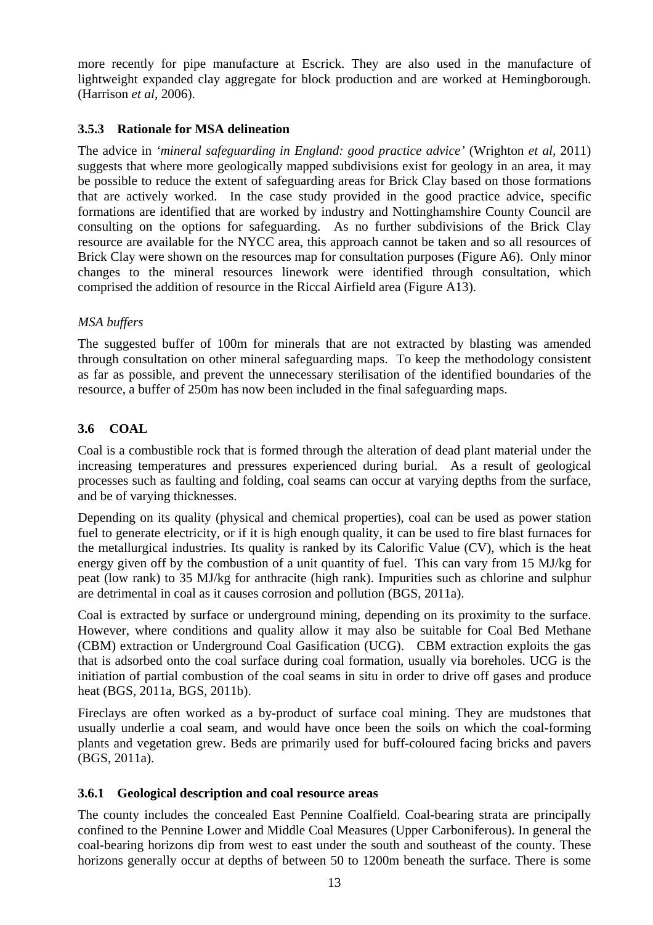<span id="page-21-0"></span>more recently for pipe manufacture at Escrick. They are also used in the manufacture of lightweight expanded clay aggregate for block production and are worked at Hemingborough. (Harrison *et al*, 2006).

## **3.5.3 Rationale for MSA delineation**

The advice in *'mineral safeguarding in England: good practice advice'* (Wrighton *et al,* 2011) suggests that where more geologically mapped subdivisions exist for geology in an area, it may be possible to reduce the extent of safeguarding areas for Brick Clay based on those formations that are actively worked. In the case study provided in the good practice advice, specific formations are identified that are worked by industry and Nottinghamshire County Council are consulting on the options for safeguarding. As no further subdivisions of the Brick Clay resource are available for the NYCC area, this approach cannot be taken and so all resources of Brick Clay were shown on the resources map for consultation purposes (Figure A6). Only minor changes to the mineral resources linework were identified through consultation, which comprised the addition of resource in the Riccal Airfield area (Figure A13).

## *MSA buffers*

The suggested buffer of 100m for minerals that are not extracted by blasting was amended through consultation on other mineral safeguarding maps. To keep the methodology consistent as far as possible, and prevent the unnecessary sterilisation of the identified boundaries of the resource, a buffer of 250m has now been included in the final safeguarding maps.

## **3.6 COAL**

Coal is a combustible rock that is formed through the alteration of dead plant material under the increasing temperatures and pressures experienced during burial. As a result of geological processes such as faulting and folding, coal seams can occur at varying depths from the surface, and be of varying thicknesses.

Depending on its quality (physical and chemical properties), coal can be used as power station fuel to generate electricity, or if it is high enough quality, it can be used to fire blast furnaces for the metallurgical industries. Its quality is ranked by its Calorific Value (CV), which is the heat energy given off by the combustion of a unit quantity of fuel. This can vary from 15 MJ/kg for peat (low rank) to 35 MJ/kg for anthracite (high rank). Impurities such as chlorine and sulphur are detrimental in coal as it causes corrosion and pollution (BGS, 2011a).

Coal is extracted by surface or underground mining, depending on its proximity to the surface. However, where conditions and quality allow it may also be suitable for Coal Bed Methane (CBM) extraction or Underground Coal Gasification (UCG). CBM extraction exploits the gas that is adsorbed onto the coal surface during coal formation, usually via boreholes. UCG is the initiation of partial combustion of the coal seams in situ in order to drive off gases and produce heat (BGS, 2011a, BGS, 2011b).

Fireclays are often worked as a by-product of surface coal mining. They are mudstones that usually underlie a coal seam, and would have once been the soils on which the coal-forming plants and vegetation grew. Beds are primarily used for buff-coloured facing bricks and pavers (BGS, 2011a).

#### **3.6.1 Geological description and coal resource areas**

The county includes the concealed East Pennine Coalfield. Coal-bearing strata are principally confined to the Pennine Lower and Middle Coal Measures (Upper Carboniferous). In general the coal-bearing horizons dip from west to east under the south and southeast of the county. These horizons generally occur at depths of between 50 to 1200m beneath the surface. There is some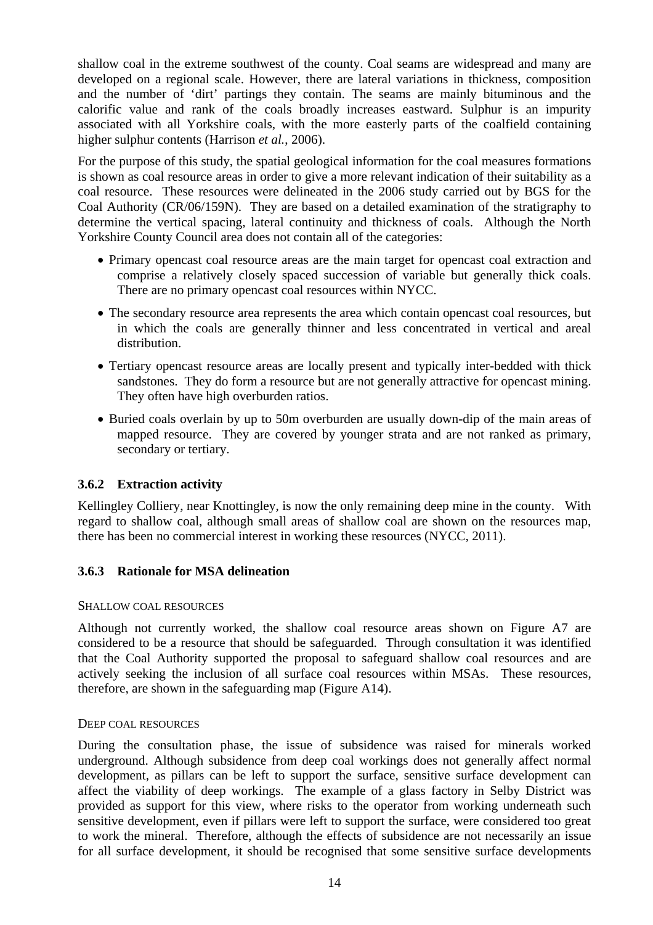shallow coal in the extreme southwest of the county. Coal seams are widespread and many are developed on a regional scale. However, there are lateral variations in thickness, composition and the number of 'dirt' partings they contain. The seams are mainly bituminous and the calorific value and rank of the coals broadly increases eastward. Sulphur is an impurity associated with all Yorkshire coals, with the more easterly parts of the coalfield containing higher sulphur contents (Harrison *et al.*, 2006).

For the purpose of this study, the spatial geological information for the coal measures formations is shown as coal resource areas in order to give a more relevant indication of their suitability as a coal resource. These resources were delineated in the 2006 study carried out by BGS for the Coal Authority (CR/06/159N). They are based on a detailed examination of the stratigraphy to determine the vertical spacing, lateral continuity and thickness of coals. Although the North Yorkshire County Council area does not contain all of the categories:

- Primary opencast coal resource areas are the main target for opencast coal extraction and comprise a relatively closely spaced succession of variable but generally thick coals. There are no primary opencast coal resources within NYCC.
- The secondary resource area represents the area which contain opencast coal resources, but in which the coals are generally thinner and less concentrated in vertical and areal distribution.
- Tertiary opencast resource areas are locally present and typically inter-bedded with thick sandstones. They do form a resource but are not generally attractive for opencast mining. They often have high overburden ratios.
- Buried coals overlain by up to 50m overburden are usually down-dip of the main areas of mapped resource. They are covered by younger strata and are not ranked as primary, secondary or tertiary.

#### **3.6.2 Extraction activity**

Kellingley Colliery, near Knottingley, is now the only remaining deep mine in the county. With regard to shallow coal, although small areas of shallow coal are shown on the resources map, there has been no commercial interest in working these resources (NYCC, 2011).

#### **3.6.3 Rationale for MSA delineation**

#### SHALLOW COAL RESOURCES

Although not currently worked, the shallow coal resource areas shown on Figure A7 are considered to be a resource that should be safeguarded. Through consultation it was identified that the Coal Authority supported the proposal to safeguard shallow coal resources and are actively seeking the inclusion of all surface coal resources within MSAs. These resources, therefore, are shown in the safeguarding map (Figure A14).

#### DEEP COAL RESOURCES

During the consultation phase, the issue of subsidence was raised for minerals worked underground. Although subsidence from deep coal workings does not generally affect normal development, as pillars can be left to support the surface, sensitive surface development can affect the viability of deep workings. The example of a glass factory in Selby District was provided as support for this view, where risks to the operator from working underneath such sensitive development, even if pillars were left to support the surface, were considered too great to work the mineral. Therefore, although the effects of subsidence are not necessarily an issue for all surface development, it should be recognised that some sensitive surface developments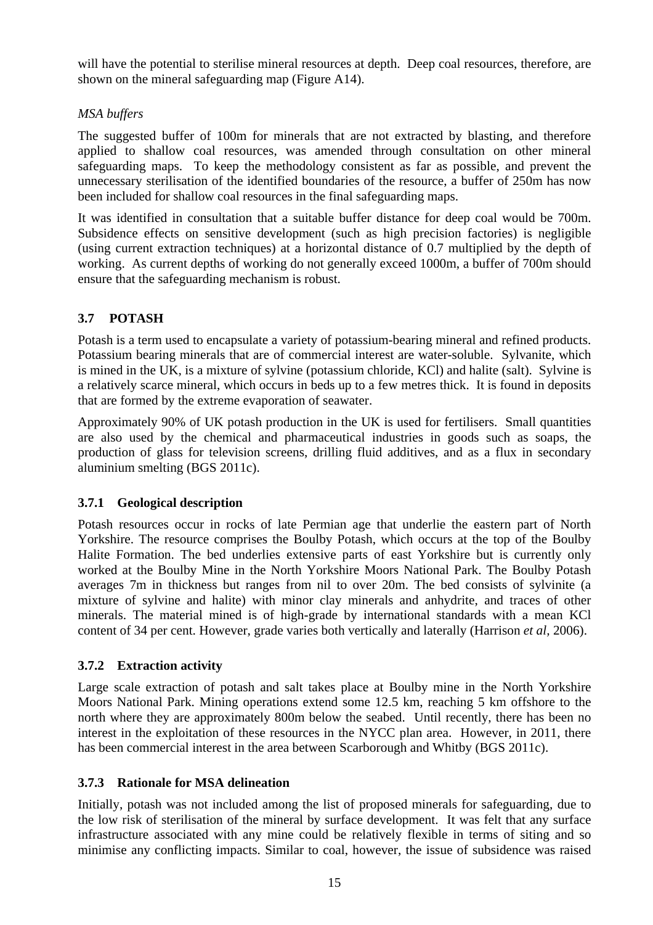<span id="page-23-0"></span>will have the potential to sterilise mineral resources at depth. Deep coal resources, therefore, are shown on the mineral safeguarding map (Figure A14).

## *MSA buffers*

The suggested buffer of 100m for minerals that are not extracted by blasting, and therefore applied to shallow coal resources, was amended through consultation on other mineral safeguarding maps. To keep the methodology consistent as far as possible, and prevent the unnecessary sterilisation of the identified boundaries of the resource, a buffer of 250m has now been included for shallow coal resources in the final safeguarding maps.

It was identified in consultation that a suitable buffer distance for deep coal would be 700m. Subsidence effects on sensitive development (such as high precision factories) is negligible (using current extraction techniques) at a horizontal distance of 0.7 multiplied by the depth of working. As current depths of working do not generally exceed 1000m, a buffer of 700m should ensure that the safeguarding mechanism is robust.

# **3.7 POTASH**

Potash is a term used to encapsulate a variety of potassium-bearing mineral and refined products. Potassium bearing minerals that are of commercial interest are water-soluble. Sylvanite, which is mined in the UK, is a mixture of sylvine (potassium chloride, KCl) and halite (salt). Sylvine is a relatively scarce mineral, which occurs in beds up to a few metres thick. It is found in deposits that are formed by the extreme evaporation of seawater.

Approximately 90% of UK potash production in the UK is used for fertilisers. Small quantities are also used by the chemical and pharmaceutical industries in goods such as soaps, the production of glass for television screens, drilling fluid additives, and as a flux in secondary aluminium smelting (BGS 2011c).

#### **3.7.1 Geological description**

Potash resources occur in rocks of late Permian age that underlie the eastern part of North Yorkshire. The resource comprises the Boulby Potash, which occurs at the top of the Boulby Halite Formation. The bed underlies extensive parts of east Yorkshire but is currently only worked at the Boulby Mine in the North Yorkshire Moors National Park. The Boulby Potash averages 7m in thickness but ranges from nil to over 20m. The bed consists of sylvinite (a mixture of sylvine and halite) with minor clay minerals and anhydrite, and traces of other minerals. The material mined is of high-grade by international standards with a mean KCl content of 34 per cent. However, grade varies both vertically and laterally (Harrison *et al,* 2006).

#### **3.7.2 Extraction activity**

Large scale extraction of potash and salt takes place at Boulby mine in the North Yorkshire Moors National Park. Mining operations extend some 12.5 km, reaching 5 km offshore to the north where they are approximately 800m below the seabed. Until recently, there has been no interest in the exploitation of these resources in the NYCC plan area. However, in 2011, there has been commercial interest in the area between Scarborough and Whitby (BGS 2011c).

# **3.7.3 Rationale for MSA delineation**

Initially, potash was not included among the list of proposed minerals for safeguarding, due to the low risk of sterilisation of the mineral by surface development. It was felt that any surface infrastructure associated with any mine could be relatively flexible in terms of siting and so minimise any conflicting impacts. Similar to coal, however, the issue of subsidence was raised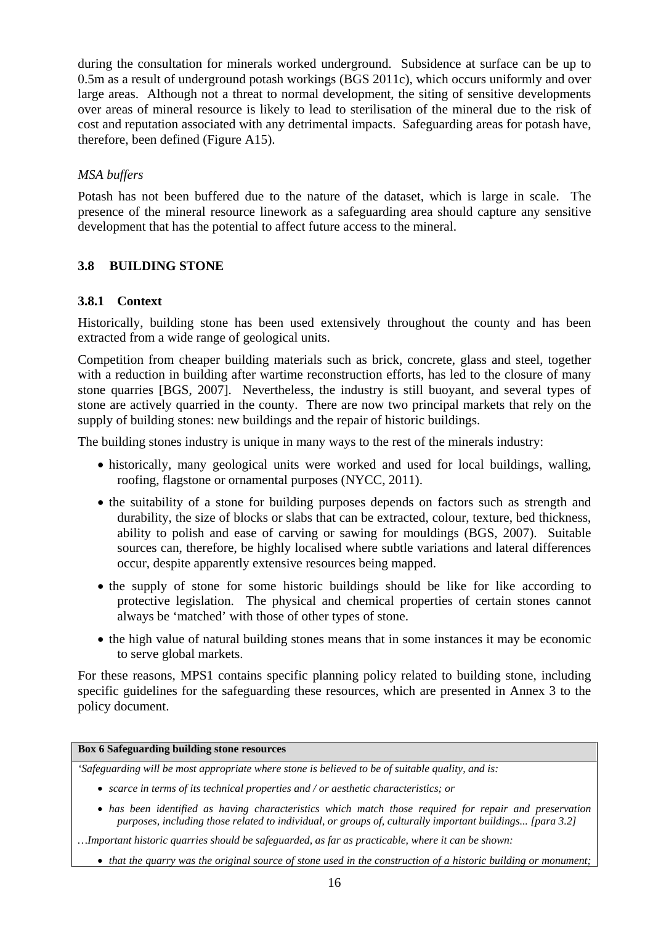<span id="page-24-0"></span>during the consultation for minerals worked underground. Subsidence at surface can be up to 0.5m as a result of underground potash workings (BGS 2011c), which occurs uniformly and over large areas. Although not a threat to normal development, the siting of sensitive developments over areas of mineral resource is likely to lead to sterilisation of the mineral due to the risk of cost and reputation associated with any detrimental impacts. Safeguarding areas for potash have, therefore, been defined (Figure A15).

#### *MSA buffers*

Potash has not been buffered due to the nature of the dataset, which is large in scale. The presence of the mineral resource linework as a safeguarding area should capture any sensitive development that has the potential to affect future access to the mineral.

## **3.8 BUILDING STONE**

## **3.8.1 Context**

Historically, building stone has been used extensively throughout the county and has been extracted from a wide range of geological units.

Competition from cheaper building materials such as brick, concrete, glass and steel, together with a reduction in building after wartime reconstruction efforts, has led to the closure of many stone quarries [BGS, 2007]. Nevertheless, the industry is still buoyant, and several types of stone are actively quarried in the county. There are now two principal markets that rely on the supply of building stones: new buildings and the repair of historic buildings.

The building stones industry is unique in many ways to the rest of the minerals industry:

- historically, many geological units were worked and used for local buildings, walling, roofing, flagstone or ornamental purposes (NYCC, 2011).
- the suitability of a stone for building purposes depends on factors such as strength and durability, the size of blocks or slabs that can be extracted, colour, texture, bed thickness, ability to polish and ease of carving or sawing for mouldings (BGS, 2007). Suitable sources can, therefore, be highly localised where subtle variations and lateral differences occur, despite apparently extensive resources being mapped.
- the supply of stone for some historic buildings should be like for like according to protective legislation. The physical and chemical properties of certain stones cannot always be 'matched' with those of other types of stone.
- the high value of natural building stones means that in some instances it may be economic to serve global markets.

For these reasons, MPS1 contains specific planning policy related to building stone, including specific guidelines for the safeguarding these resources, which are presented in Annex 3 to the policy document.

#### **Box 6 Safeguarding building stone resources**

*'Safeguarding will be most appropriate where stone is believed to be of suitable quality, and is:* 

- *scarce in terms of its technical properties and / or aesthetic characteristics; or*
- *has been identified as having characteristics which match those required for repair and preservation purposes, including those related to individual, or groups of, culturally important buildings... [para 3.2]*
- *…Important historic quarries should be safeguarded, as far as practicable, where it can be shown:* 
	- *that the quarry was the original source of stone used in the construction of a historic building or monument;*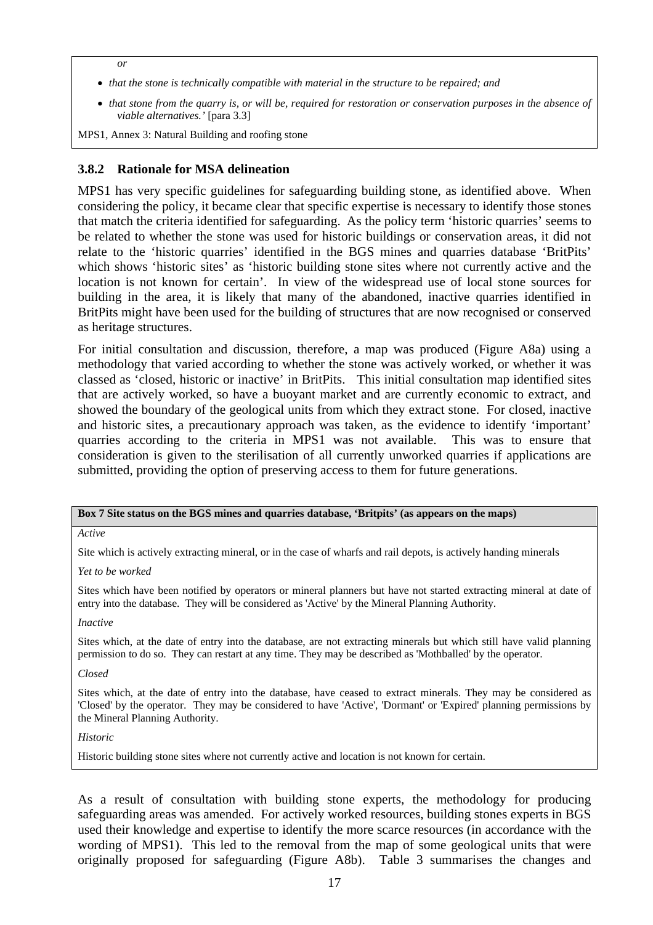*or* 

- *that the stone is technically compatible with material in the structure to be repaired; and*
- *that stone from the quarry is, or will be, required for restoration or conservation purposes in the absence of viable alternatives.'* [para 3.3]

MPS1, Annex 3: Natural Building and roofing stone

#### **3.8.2 Rationale for MSA delineation**

MPS1 has very specific guidelines for safeguarding building stone, as identified above. When considering the policy, it became clear that specific expertise is necessary to identify those stones that match the criteria identified for safeguarding. As the policy term 'historic quarries' seems to be related to whether the stone was used for historic buildings or conservation areas, it did not relate to the 'historic quarries' identified in the BGS mines and quarries database 'BritPits' which shows 'historic sites' as 'historic building stone sites where not currently active and the location is not known for certain'. In view of the widespread use of local stone sources for building in the area, it is likely that many of the abandoned, inactive quarries identified in BritPits might have been used for the building of structures that are now recognised or conserved as heritage structures.

For initial consultation and discussion, therefore, a map was produced (Figure A8a) using a methodology that varied according to whether the stone was actively worked, or whether it was classed as 'closed, historic or inactive' in BritPits. This initial consultation map identified sites that are actively worked, so have a buoyant market and are currently economic to extract, and showed the boundary of the geological units from which they extract stone. For closed, inactive and historic sites, a precautionary approach was taken, as the evidence to identify 'important' quarries according to the criteria in MPS1 was not available. This was to ensure that consideration is given to the sterilisation of all currently unworked quarries if applications are submitted, providing the option of preserving access to them for future generations.

#### **Box 7 Site status on the BGS mines and quarries database, 'Britpits' (as appears on the maps)**

*Active* 

Site which is actively extracting mineral, or in the case of wharfs and rail depots, is actively handing minerals

*Yet to be worked* 

Sites which have been notified by operators or mineral planners but have not started extracting mineral at date of entry into the database. They will be considered as 'Active' by the Mineral Planning Authority.

*Inactive* 

Sites which, at the date of entry into the database, are not extracting minerals but which still have valid planning permission to do so. They can restart at any time. They may be described as 'Mothballed' by the operator.

*Closed* 

Sites which, at the date of entry into the database, have ceased to extract minerals. They may be considered as 'Closed' by the operator. They may be considered to have 'Active', 'Dormant' or 'Expired' planning permissions by the Mineral Planning Authority.

#### *Historic*

Historic building stone sites where not currently active and location is not known for certain.

As a result of consultation with building stone experts, the methodology for producing safeguarding areas was amended. For actively worked resources, building stones experts in BGS used their knowledge and expertise to identify the more scarce resources (in accordance with the wording of MPS1). This led to the removal from the map of some geological units that were originally proposed for safeguarding (Figure A8b). [Table 3](#page-27-1) summarises the changes and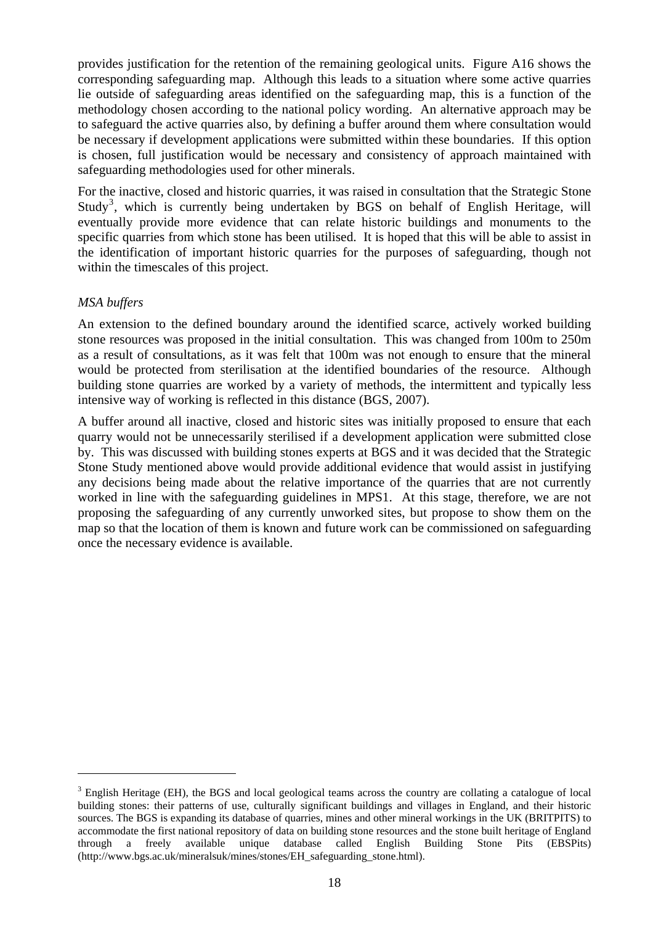<span id="page-26-0"></span>provides justification for the retention of the remaining geological units. Figure A16 shows the corresponding safeguarding map. Although this leads to a situation where some active quarries lie outside of safeguarding areas identified on the safeguarding map, this is a function of the methodology chosen according to the national policy wording. An alternative approach may be to safeguard the active quarries also, by defining a buffer around them where consultation would be necessary if development applications were submitted within these boundaries. If this option is chosen, full justification would be necessary and consistency of approach maintained with safeguarding methodologies used for other minerals.

For the inactive, closed and historic quarries, it was raised in consultation that the Strategic Stone Study<sup>[3](#page-26-0)</sup>, which is currently being undertaken by BGS on behalf of English Heritage, will eventually provide more evidence that can relate historic buildings and monuments to the specific quarries from which stone has been utilised. It is hoped that this will be able to assist in the identification of important historic quarries for the purposes of safeguarding, though not within the timescales of this project.

#### *MSA buffers*

 $\overline{a}$ 

An extension to the defined boundary around the identified scarce, actively worked building stone resources was proposed in the initial consultation. This was changed from 100m to 250m as a result of consultations, as it was felt that 100m was not enough to ensure that the mineral would be protected from sterilisation at the identified boundaries of the resource. Although building stone quarries are worked by a variety of methods, the intermittent and typically less intensive way of working is reflected in this distance (BGS, 2007).

A buffer around all inactive, closed and historic sites was initially proposed to ensure that each quarry would not be unnecessarily sterilised if a development application were submitted close by. This was discussed with building stones experts at BGS and it was decided that the Strategic Stone Study mentioned above would provide additional evidence that would assist in justifying any decisions being made about the relative importance of the quarries that are not currently worked in line with the safeguarding guidelines in MPS1. At this stage, therefore, we are not proposing the safeguarding of any currently unworked sites, but propose to show them on the map so that the location of them is known and future work can be commissioned on safeguarding once the necessary evidence is available.

 $3$  English Heritage (EH), the BGS and local geological teams across the country are collating a catalogue of local building stones: their patterns of use, culturally significant buildings and villages in England, and their historic sources. The BGS is expanding its database of quarries, mines and other mineral workings in the UK (BRITPITS) to accommodate the first national repository of data on building stone resources and the stone built heritage of England through a freely available unique database called English Building Stone Pits (EBSPits) (http://www.bgs.ac.uk/mineralsuk/mines/stones/EH\_safeguarding\_stone.html).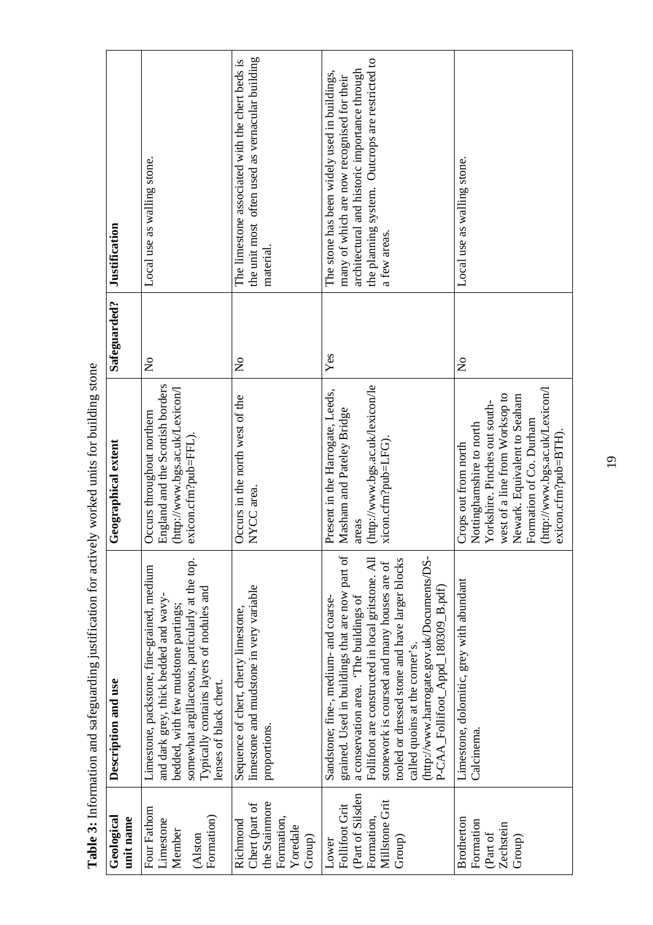| Geological<br>unit name                                                               | Description and use                                                                                                                                                                                                                                                                                                                                                                                            | Geographical extent                                                                                                                                                                                                                      | Safeguarded?              | Justification                                                                                                                                                                                                  |
|---------------------------------------------------------------------------------------|----------------------------------------------------------------------------------------------------------------------------------------------------------------------------------------------------------------------------------------------------------------------------------------------------------------------------------------------------------------------------------------------------------------|------------------------------------------------------------------------------------------------------------------------------------------------------------------------------------------------------------------------------------------|---------------------------|----------------------------------------------------------------------------------------------------------------------------------------------------------------------------------------------------------------|
| Four Fathom<br>Formation)<br>Limestone<br>Member<br>(Alston                           | somewhat argillaceous, particularly at the top.<br>Limestone, packstone, fine-grained, medium<br>Typically contains layers of nodules and<br>and dark grey, thick bedded and wavy-<br>bedded, with few mudstone partings;<br>enses of black chert.                                                                                                                                                             | England and the Scottish borders<br>(http://www.bgs.ac.uk/Lexicon/l<br>Occurs throughout northern<br>exicon.cfm?pub=FFL)                                                                                                                 | $\mathsf{S}^{\mathsf{o}}$ | Local use as walling stone.                                                                                                                                                                                    |
| the Stainmore<br>Chert (part of<br>Formation,<br>Richmond<br>Yoredale<br>Group)       | limestone and mudstone in very variable<br>Sequence of chert, cherty limestone,<br>proportions.                                                                                                                                                                                                                                                                                                                | Occurs in the north west of the<br>NYCC area.                                                                                                                                                                                            | $\mathsf{S}^{\mathsf{o}}$ | the unit most often used as vernacular building<br>The limestone associated with the chert beds is<br>material.                                                                                                |
| (Part of Silsden<br>Millstone Grit<br>Follifoot Grit<br>Formation,<br>Group)<br>Lower | grained. Used in buildings that are now part of<br>(http://www.harrogate.gov.uk/Documents/DS-<br>Follifoot are constructed in local gritstone. All<br>tooled or dressed stone and have larger blocks<br>stonework is coursed and many houses are of<br>P-CAA_Follifoot_Appd_180309_B.pdf)<br>a conservation area. 'The buildings of<br>Sandstone; fine-, medium- and coarse-<br>called quoins at the corner's. | (http://www.bgs.ac.uk/lexicon/le<br>Present in the Harrogate, Leeds,<br>Masham and Pateley Bridge<br>xicon.cfm?pub=LFG)<br>areas                                                                                                         | Yes                       | the planning system. Outcrops are restricted to<br>architectural and historic importance through<br>The stone has been widely used in buildings,<br>many of which are now recognised for their<br>a few areas. |
| Brotherton<br>Formation<br>Zechstein<br>(Part of<br>Group)                            | Limestone, dolomitic, grey with abundant<br>Calcinema.                                                                                                                                                                                                                                                                                                                                                         | (http://www.bgs.ac.uk/Lexicon/l<br>west of a line from Worksop to<br>Newark. Equivalent to Seaham<br>Yorkshire. Pinches out south-<br>Formation of Co. Durham<br>Nottinghamshire to north<br>exicon.cfm?pub=BTH)<br>Crops out from north | $\mathsf{S}^{\mathsf{O}}$ | Local use as walling stone.                                                                                                                                                                                    |

<span id="page-27-1"></span><span id="page-27-0"></span>Table 3: Information and safeguarding justification for actively worked units for building stone **Table 3:** Information and safeguarding justification for actively worked units for building stone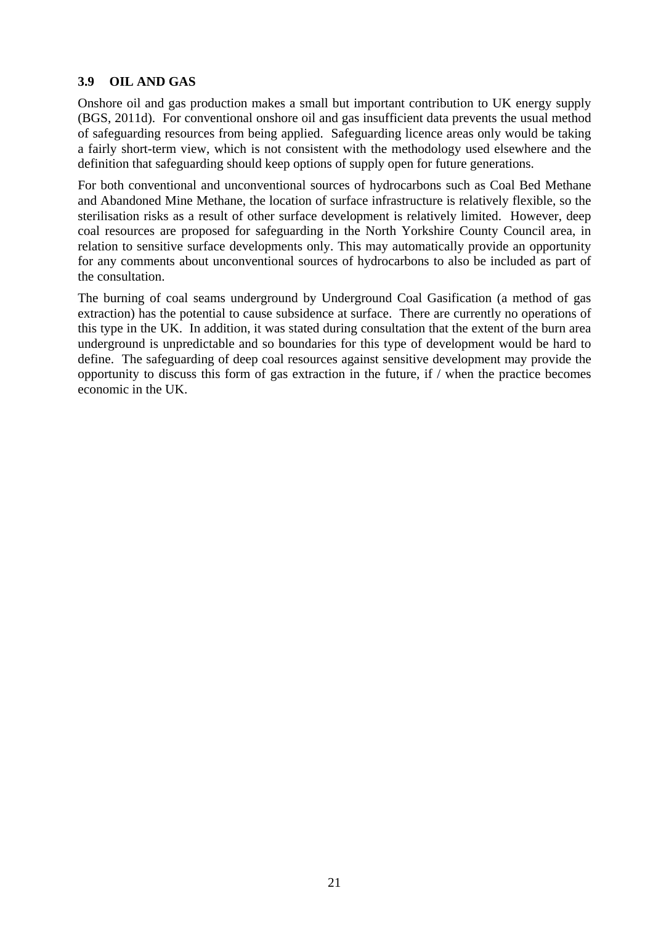#### <span id="page-29-0"></span>**3.9 OIL AND GAS**

Onshore oil and gas production makes a small but important contribution to UK energy supply (BGS, 2011d). For conventional onshore oil and gas insufficient data prevents the usual method of safeguarding resources from being applied. Safeguarding licence areas only would be taking a fairly short-term view, which is not consistent with the methodology used elsewhere and the definition that safeguarding should keep options of supply open for future generations.

For both conventional and unconventional sources of hydrocarbons such as Coal Bed Methane and Abandoned Mine Methane, the location of surface infrastructure is relatively flexible, so the sterilisation risks as a result of other surface development is relatively limited. However, deep coal resources are proposed for safeguarding in the North Yorkshire County Council area, in relation to sensitive surface developments only. This may automatically provide an opportunity for any comments about unconventional sources of hydrocarbons to also be included as part of the consultation.

The burning of coal seams underground by Underground Coal Gasification (a method of gas extraction) has the potential to cause subsidence at surface. There are currently no operations of this type in the UK. In addition, it was stated during consultation that the extent of the burn area underground is unpredictable and so boundaries for this type of development would be hard to define. The safeguarding of deep coal resources against sensitive development may provide the opportunity to discuss this form of gas extraction in the future, if / when the practice becomes economic in the UK.